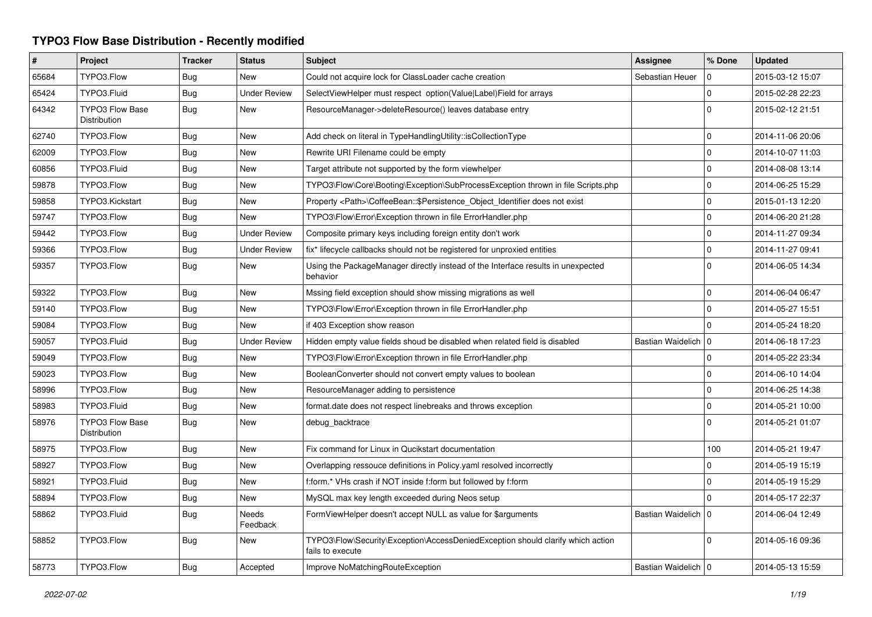## **TYPO3 Flow Base Distribution - Recently modified**

| #     | Project                                       | <b>Tracker</b> | <b>Status</b>            | <b>Subject</b>                                                                                      | <b>Assignee</b>       | % Done       | <b>Updated</b>   |
|-------|-----------------------------------------------|----------------|--------------------------|-----------------------------------------------------------------------------------------------------|-----------------------|--------------|------------------|
| 65684 | TYPO3.Flow                                    | Bug            | <b>New</b>               | Could not acquire lock for ClassLoader cache creation                                               | Sebastian Heuer       | $\Omega$     | 2015-03-12 15:07 |
| 65424 | TYPO3.Fluid                                   | Bug            | <b>Under Review</b>      | SelectViewHelper must respect option(Value Label)Field for arrays                                   |                       | $\mathbf 0$  | 2015-02-28 22:23 |
| 64342 | <b>TYPO3 Flow Base</b><br><b>Distribution</b> | Bug            | <b>New</b>               | ResourceManager->deleteResource() leaves database entry                                             |                       | $\Omega$     | 2015-02-12 21:51 |
| 62740 | TYPO3.Flow                                    | Bug            | <b>New</b>               | Add check on literal in TypeHandlingUtility::isCollectionType                                       |                       | $\mathbf 0$  | 2014-11-06 20:06 |
| 62009 | TYPO3.Flow                                    | Bug            | <b>New</b>               | Rewrite URI Filename could be empty                                                                 |                       | $\mathbf{0}$ | 2014-10-07 11:03 |
| 60856 | TYPO3.Fluid                                   | Bug            | <b>New</b>               | Target attribute not supported by the form viewhelper                                               |                       | $\mathbf 0$  | 2014-08-08 13:14 |
| 59878 | TYPO3.Flow                                    | <b>Bug</b>     | <b>New</b>               | TYPO3\Flow\Core\Booting\Exception\SubProcessException thrown in file Scripts.php                    |                       | $\mathbf 0$  | 2014-06-25 15:29 |
| 59858 | TYPO3.Kickstart                               | Bug            | <b>New</b>               | Property <path>\CoffeeBean::\$Persistence Object Identifier does not exist</path>                   |                       | $\mathbf{0}$ | 2015-01-13 12:20 |
| 59747 | TYPO3.Flow                                    | Bug            | <b>New</b>               | TYPO3\Flow\Error\Exception thrown in file ErrorHandler.php                                          |                       | $\mathbf 0$  | 2014-06-20 21:28 |
| 59442 | TYPO3.Flow                                    | Bug            | <b>Under Review</b>      | Composite primary keys including foreign entity don't work                                          |                       | $\mathbf 0$  | 2014-11-27 09:34 |
| 59366 | TYPO3.Flow                                    | Bug            | <b>Under Review</b>      | fix* lifecycle callbacks should not be registered for unproxied entities                            |                       | $\mathbf 0$  | 2014-11-27 09:41 |
| 59357 | TYPO3.Flow                                    | <b>Bug</b>     | New                      | Using the PackageManager directly instead of the Interface results in unexpected<br>behavior        |                       | $\Omega$     | 2014-06-05 14:34 |
| 59322 | TYPO3.Flow                                    | Bug            | New                      | Mssing field exception should show missing migrations as well                                       |                       | $\mathbf 0$  | 2014-06-04 06:47 |
| 59140 | TYPO3.Flow                                    | <b>Bug</b>     | <b>New</b>               | TYPO3\Flow\Error\Exception thrown in file ErrorHandler.php                                          |                       | $\mathbf{0}$ | 2014-05-27 15:51 |
| 59084 | TYPO3.Flow                                    | Bug            | <b>New</b>               | if 403 Exception show reason                                                                        |                       | $\Omega$     | 2014-05-24 18:20 |
| 59057 | TYPO3.Fluid                                   | <b>Bug</b>     | <b>Under Review</b>      | Hidden empty value fields shoud be disabled when related field is disabled                          | Bastian Waidelich   0 |              | 2014-06-18 17:23 |
| 59049 | TYPO3.Flow                                    | Bug            | <b>New</b>               | TYPO3\Flow\Error\Exception thrown in file ErrorHandler.php                                          |                       | $\mathbf 0$  | 2014-05-22 23:34 |
| 59023 | TYPO3.Flow                                    | <b>Bug</b>     | <b>New</b>               | BooleanConverter should not convert empty values to boolean                                         |                       | $\mathbf 0$  | 2014-06-10 14:04 |
| 58996 | TYPO3.Flow                                    | Bug            | <b>New</b>               | ResourceManager adding to persistence                                                               |                       | $\mathbf 0$  | 2014-06-25 14:38 |
| 58983 | TYPO3.Fluid                                   | Bug            | <b>New</b>               | format.date does not respect linebreaks and throws exception                                        |                       | $\mathbf 0$  | 2014-05-21 10:00 |
| 58976 | <b>TYPO3 Flow Base</b><br><b>Distribution</b> | <b>Bug</b>     | <b>New</b>               | debug_backtrace                                                                                     |                       | $\Omega$     | 2014-05-21 01:07 |
| 58975 | TYPO3.Flow                                    | Bug            | <b>New</b>               | Fix command for Linux in Qucikstart documentation                                                   |                       | 100          | 2014-05-21 19:47 |
| 58927 | TYPO3.Flow                                    | <b>Bug</b>     | <b>New</b>               | Overlapping ressouce definitions in Policy yaml resolved incorrectly                                |                       | $\mathbf 0$  | 2014-05-19 15:19 |
| 58921 | TYPO3.Fluid                                   | Bug            | <b>New</b>               | f:form.* VHs crash if NOT inside f:form but followed by f:form                                      |                       | $\mathbf 0$  | 2014-05-19 15:29 |
| 58894 | TYPO3.Flow                                    | Bug            | <b>New</b>               | MySQL max key length exceeded during Neos setup                                                     |                       | $\Omega$     | 2014-05-17 22:37 |
| 58862 | TYPO3.Fluid                                   | <b>Bug</b>     | <b>Needs</b><br>Feedback | FormViewHelper doesn't accept NULL as value for \$arguments                                         | Bastian Waidelich     | $\Omega$     | 2014-06-04 12:49 |
| 58852 | TYPO3.Flow                                    | Bug            | <b>New</b>               | TYPO3\Flow\Security\Exception\AccessDeniedException should clarify which action<br>fails to execute |                       | $\Omega$     | 2014-05-16 09:36 |
| 58773 | TYPO3.Flow                                    | Bug            | Accepted                 | Improve NoMatchingRouteException                                                                    | Bastian Waidelich   0 |              | 2014-05-13 15:59 |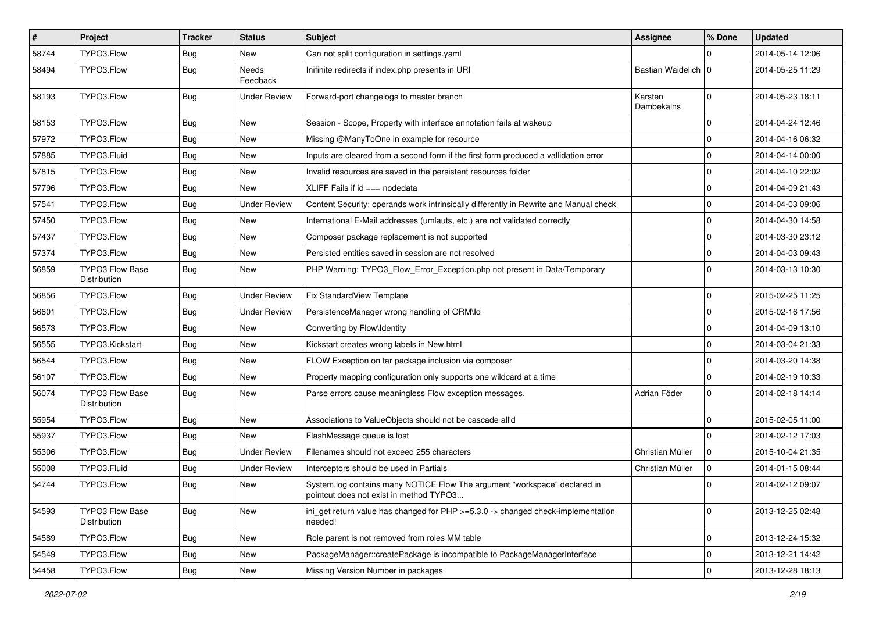| #     | Project                                       | <b>Tracker</b> | <b>Status</b>       | <b>Subject</b>                                                                                                       | <b>Assignee</b>       | % Done      | <b>Updated</b>   |
|-------|-----------------------------------------------|----------------|---------------------|----------------------------------------------------------------------------------------------------------------------|-----------------------|-------------|------------------|
| 58744 | TYPO3.Flow                                    | <b>Bug</b>     | New                 | Can not split configuration in settings.yaml                                                                         |                       | 0           | 2014-05-14 12:06 |
| 58494 | TYPO3.Flow                                    | <b>Bug</b>     | Needs<br>Feedback   | Inifinite redirects if index.php presents in URI                                                                     | Bastian Waidelich   0 |             | 2014-05-25 11:29 |
| 58193 | TYPO3.Flow                                    | Bug            | <b>Under Review</b> | Forward-port changelogs to master branch                                                                             | Karsten<br>Dambekalns | $\mathbf 0$ | 2014-05-23 18:11 |
| 58153 | TYPO3.Flow                                    | <b>Bug</b>     | <b>New</b>          | Session - Scope, Property with interface annotation fails at wakeup                                                  |                       | $\mathbf 0$ | 2014-04-24 12:46 |
| 57972 | TYPO3.Flow                                    | Bug            | New                 | Missing @ManyToOne in example for resource                                                                           |                       | $\pmb{0}$   | 2014-04-16 06:32 |
| 57885 | TYPO3.Fluid                                   | Bug            | New                 | Inputs are cleared from a second form if the first form produced a vallidation error                                 |                       | 0           | 2014-04-14 00:00 |
| 57815 | TYPO3.Flow                                    | Bug            | New                 | Invalid resources are saved in the persistent resources folder                                                       |                       | 0           | 2014-04-10 22:02 |
| 57796 | TYPO3.Flow                                    | Bug            | <b>New</b>          | XLIFF Fails if $id ==$ nodedata                                                                                      |                       | 0           | 2014-04-09 21:43 |
| 57541 | TYPO3.Flow                                    | <b>Bug</b>     | Under Review        | Content Security: operands work intrinsically differently in Rewrite and Manual check                                |                       | $\pmb{0}$   | 2014-04-03 09:06 |
| 57450 | TYPO3.Flow                                    | Bug            | New                 | International E-Mail addresses (umlauts, etc.) are not validated correctly                                           |                       | $\pmb{0}$   | 2014-04-30 14:58 |
| 57437 | TYPO3.Flow                                    | Bug            | New                 | Composer package replacement is not supported                                                                        |                       | 0           | 2014-03-30 23:12 |
| 57374 | TYPO3.Flow                                    | Bug            | New                 | Persisted entities saved in session are not resolved                                                                 |                       | 0           | 2014-04-03 09:43 |
| 56859 | <b>TYPO3 Flow Base</b><br><b>Distribution</b> | Bug            | <b>New</b>          | PHP Warning: TYPO3_Flow_Error_Exception.php not present in Data/Temporary                                            |                       | $\mathbf 0$ | 2014-03-13 10:30 |
| 56856 | TYPO3.Flow                                    | Bug            | <b>Under Review</b> | Fix StandardView Template                                                                                            |                       | $\pmb{0}$   | 2015-02-25 11:25 |
| 56601 | TYPO3.Flow                                    | <b>Bug</b>     | <b>Under Review</b> | PersistenceManager wrong handling of ORM\ld                                                                          |                       | $\mathbf 0$ | 2015-02-16 17:56 |
| 56573 | TYPO3.Flow                                    | Bug            | New                 | Converting by Flow\Identity                                                                                          |                       | 0           | 2014-04-09 13:10 |
| 56555 | TYPO3.Kickstart                               | Bug            | New                 | Kickstart creates wrong labels in New.html                                                                           |                       | $\pmb{0}$   | 2014-03-04 21:33 |
| 56544 | TYPO3.Flow                                    | Bug            | New                 | FLOW Exception on tar package inclusion via composer                                                                 |                       | 0           | 2014-03-20 14:38 |
| 56107 | TYPO3.Flow                                    | Bug            | New                 | Property mapping configuration only supports one wildcard at a time                                                  |                       | $\mathbf 0$ | 2014-02-19 10:33 |
| 56074 | <b>TYPO3 Flow Base</b><br>Distribution        | <b>Bug</b>     | New                 | Parse errors cause meaningless Flow exception messages.                                                              | Adrian Föder          | 0           | 2014-02-18 14:14 |
| 55954 | TYPO3.Flow                                    | Bug            | <b>New</b>          | Associations to ValueObjects should not be cascade all'd                                                             |                       | $\mathbf 0$ | 2015-02-05 11:00 |
| 55937 | TYPO3.Flow                                    | <b>Bug</b>     | <b>New</b>          | FlashMessage queue is lost                                                                                           |                       | $\mathbf 0$ | 2014-02-12 17:03 |
| 55306 | TYPO3.Flow                                    | Bug            | <b>Under Review</b> | Filenames should not exceed 255 characters                                                                           | Christian Müller      | 0           | 2015-10-04 21:35 |
| 55008 | TYPO3.Fluid                                   | Bug            | <b>Under Review</b> | Interceptors should be used in Partials                                                                              | Christian Müller      | $\mathsf 0$ | 2014-01-15 08:44 |
| 54744 | TYPO3.Flow                                    | <b>Bug</b>     | New                 | System.log contains many NOTICE Flow The argument "workspace" declared in<br>pointcut does not exist in method TYPO3 |                       | $\mathbf 0$ | 2014-02-12 09:07 |
| 54593 | <b>TYPO3 Flow Base</b><br>Distribution        | <b>Bug</b>     | New                 | ini_get return value has changed for PHP >=5.3.0 -> changed check-implementation<br>needed!                          |                       | 0           | 2013-12-25 02:48 |
| 54589 | TYPO3.Flow                                    | <b>Bug</b>     | New                 | Role parent is not removed from roles MM table                                                                       |                       | $\mathbf 0$ | 2013-12-24 15:32 |
| 54549 | TYPO3.Flow                                    | <b>Bug</b>     | New                 | PackageManager::createPackage is incompatible to PackageManagerInterface                                             |                       | 0           | 2013-12-21 14:42 |
| 54458 | TYPO3.Flow                                    | <b>Bug</b>     | New                 | Missing Version Number in packages                                                                                   |                       | 0           | 2013-12-28 18:13 |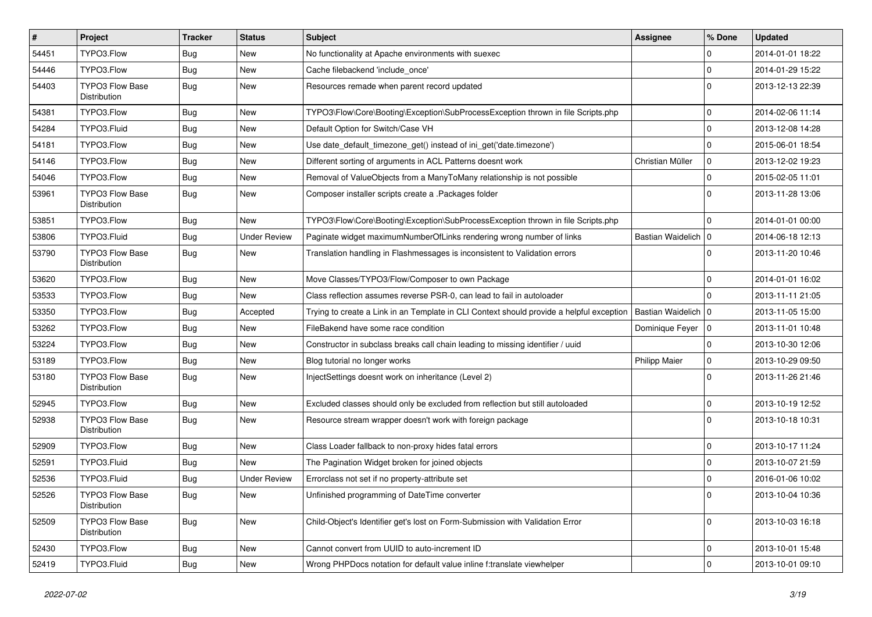| $\vert$ # | Project                                | Tracker    | <b>Status</b>       | Subject                                                                                  | <b>Assignee</b>       | % Done       | <b>Updated</b>   |
|-----------|----------------------------------------|------------|---------------------|------------------------------------------------------------------------------------------|-----------------------|--------------|------------------|
| 54451     | TYPO3.Flow                             | <b>Bug</b> | New                 | No functionality at Apache environments with suexec                                      |                       | $\Omega$     | 2014-01-01 18:22 |
| 54446     | TYPO3.Flow                             | <b>Bug</b> | <b>New</b>          | Cache filebackend 'include once'                                                         |                       | $\Omega$     | 2014-01-29 15:22 |
| 54403     | <b>TYPO3 Flow Base</b><br>Distribution | Bug        | New                 | Resources remade when parent record updated                                              |                       | $\Omega$     | 2013-12-13 22:39 |
| 54381     | TYPO3.Flow                             | <b>Bug</b> | <b>New</b>          | TYPO3\Flow\Core\Booting\Exception\SubProcessException thrown in file Scripts.php         |                       | $\Omega$     | 2014-02-06 11:14 |
| 54284     | TYPO3.Fluid                            | <b>Bug</b> | New                 | Default Option for Switch/Case VH                                                        |                       | $\Omega$     | 2013-12-08 14:28 |
| 54181     | TYPO3.Flow                             | <b>Bug</b> | New                 | Use date_default_timezone_get() instead of ini_get('date.timezone')                      |                       | $\Omega$     | 2015-06-01 18:54 |
| 54146     | TYPO3.Flow                             | <b>Bug</b> | <b>New</b>          | Different sorting of arguments in ACL Patterns doesnt work                               | Christian Müller      | $\mathbf{0}$ | 2013-12-02 19:23 |
| 54046     | TYPO3.Flow                             | <b>Bug</b> | New                 | Removal of ValueObjects from a ManyToMany relationship is not possible                   |                       | $\Omega$     | 2015-02-05 11:01 |
| 53961     | <b>TYPO3 Flow Base</b><br>Distribution | <b>Bug</b> | <b>New</b>          | Composer installer scripts create a .Packages folder                                     |                       | $\Omega$     | 2013-11-28 13:06 |
| 53851     | TYPO3.Flow                             | Bug        | <b>New</b>          | TYPO3\Flow\Core\Booting\Exception\SubProcessException thrown in file Scripts.php         |                       | $\Omega$     | 2014-01-01 00:00 |
| 53806     | TYPO3.Fluid                            | <b>Bug</b> | <b>Under Review</b> | Paginate widget maximumNumberOfLinks rendering wrong number of links                     | Bastian Waidelich   0 |              | 2014-06-18 12:13 |
| 53790     | <b>TYPO3 Flow Base</b><br>Distribution | <b>Bug</b> | New                 | Translation handling in Flashmessages is inconsistent to Validation errors               |                       | 0            | 2013-11-20 10:46 |
| 53620     | TYPO3.Flow                             | <b>Bug</b> | <b>New</b>          | Move Classes/TYPO3/Flow/Composer to own Package                                          |                       | $\mathbf 0$  | 2014-01-01 16:02 |
| 53533     | TYPO3.Flow                             | <b>Bug</b> | <b>New</b>          | Class reflection assumes reverse PSR-0, can lead to fail in autoloader                   |                       | $\Omega$     | 2013-11-11 21:05 |
| 53350     | TYPO3.Flow                             | <b>Bug</b> | Accepted            | Trying to create a Link in an Template in CLI Context should provide a helpful exception | Bastian Waidelich     | 10           | 2013-11-05 15:00 |
| 53262     | TYPO3.Flow                             | <b>Bug</b> | New                 | FileBakend have some race condition                                                      | Dominique Feyer       | l o          | 2013-11-01 10:48 |
| 53224     | TYPO3.Flow                             | <b>Bug</b> | New                 | Constructor in subclass breaks call chain leading to missing identifier / uuid           |                       | $\Omega$     | 2013-10-30 12:06 |
| 53189     | TYPO3.Flow                             | <b>Bug</b> | New                 | Blog tutorial no longer works                                                            | <b>Philipp Maier</b>  | $\mathbf 0$  | 2013-10-29 09:50 |
| 53180     | <b>TYPO3 Flow Base</b><br>Distribution | <b>Bug</b> | New                 | InjectSettings doesnt work on inheritance (Level 2)                                      |                       | $\Omega$     | 2013-11-26 21:46 |
| 52945     | TYPO3.Flow                             | <b>Bug</b> | New                 | Excluded classes should only be excluded from reflection but still autoloaded            |                       | $\mathbf 0$  | 2013-10-19 12:52 |
| 52938     | <b>TYPO3 Flow Base</b><br>Distribution | <b>Bug</b> | New                 | Resource stream wrapper doesn't work with foreign package                                |                       | $\Omega$     | 2013-10-18 10:31 |
| 52909     | TYPO3.Flow                             | <b>Bug</b> | New                 | Class Loader fallback to non-proxy hides fatal errors                                    |                       | $\Omega$     | 2013-10-17 11:24 |
| 52591     | TYPO3.Fluid                            | <b>Bug</b> | <b>New</b>          | The Pagination Widget broken for joined objects                                          |                       | $\Omega$     | 2013-10-07 21:59 |
| 52536     | TYPO3.Fluid                            | <b>Bug</b> | <b>Under Review</b> | Errorclass not set if no property-attribute set                                          |                       | $\Omega$     | 2016-01-06 10:02 |
| 52526     | TYPO3 Flow Base<br>Distribution        | Bug        | New                 | Unfinished programming of DateTime converter                                             |                       | 0            | 2013-10-04 10:36 |
| 52509     | TYPO3 Flow Base<br>Distribution        | <b>Bug</b> | New                 | Child-Object's Identifier get's lost on Form-Submission with Validation Error            |                       | $\mathbf{0}$ | 2013-10-03 16:18 |
| 52430     | TYPO3.Flow                             | <b>Bug</b> | New                 | Cannot convert from UUID to auto-increment ID                                            |                       | $\mathbf 0$  | 2013-10-01 15:48 |
| 52419     | TYPO3.Fluid                            | Bug        | New                 | Wrong PHPDocs notation for default value inline f:translate viewhelper                   |                       | $\mathbf 0$  | 2013-10-01 09:10 |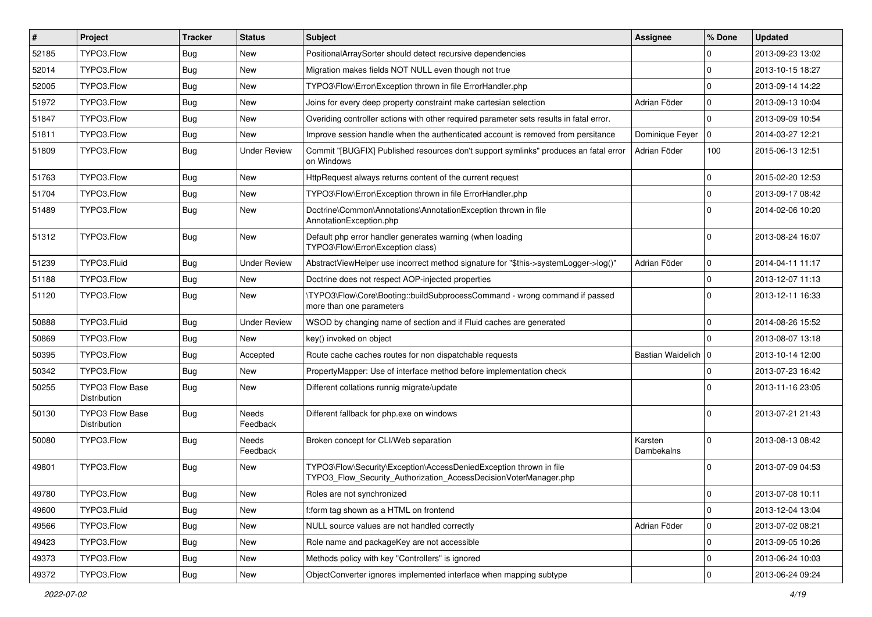| $\vert$ # | Project                                | <b>Tracker</b> | <b>Status</b>       | Subject                                                                                                                                | <b>Assignee</b>       | % Done      | <b>Updated</b>   |
|-----------|----------------------------------------|----------------|---------------------|----------------------------------------------------------------------------------------------------------------------------------------|-----------------------|-------------|------------------|
| 52185     | TYPO3.Flow                             | Bug            | New                 | PositionalArraySorter should detect recursive dependencies                                                                             |                       | 0           | 2013-09-23 13:02 |
| 52014     | TYPO3.Flow                             | Bug            | New                 | Migration makes fields NOT NULL even though not true                                                                                   |                       | $\mathbf 0$ | 2013-10-15 18:27 |
| 52005     | TYPO3.Flow                             | <b>Bug</b>     | New                 | TYPO3\Flow\Error\Exception thrown in file ErrorHandler.php                                                                             |                       | $\Omega$    | 2013-09-14 14:22 |
| 51972     | TYPO3.Flow                             | <b>Bug</b>     | New                 | Joins for every deep property constraint make cartesian selection                                                                      | Adrian Föder          | 0           | 2013-09-13 10:04 |
| 51847     | TYPO3.Flow                             | Bug            | New                 | Overiding controller actions with other required parameter sets results in fatal error.                                                |                       | $\mathbf 0$ | 2013-09-09 10:54 |
| 51811     | TYPO3.Flow                             | Bug            | New                 | Improve session handle when the authenticated account is removed from persitance                                                       | Dominique Feyer       | $\mathbf 0$ | 2014-03-27 12:21 |
| 51809     | TYPO3.Flow                             | Bug            | <b>Under Review</b> | Commit "[BUGFIX] Published resources don't support symlinks" produces an fatal error<br>on Windows                                     | Adrian Föder          | 100         | 2015-06-13 12:51 |
| 51763     | TYPO3.Flow                             | Bug            | New                 | HttpRequest always returns content of the current request                                                                              |                       | $\mathbf 0$ | 2015-02-20 12:53 |
| 51704     | TYPO3.Flow                             | <b>Bug</b>     | New                 | TYPO3\Flow\Error\Exception thrown in file ErrorHandler.php                                                                             |                       | $\mathbf 0$ | 2013-09-17 08:42 |
| 51489     | TYPO3.Flow                             | Bug            | New                 | Doctrine\Common\Annotations\AnnotationException thrown in file<br>AnnotationException.php                                              |                       | $\Omega$    | 2014-02-06 10:20 |
| 51312     | TYPO3.Flow                             | Bug            | <b>New</b>          | Default php error handler generates warning (when loading<br>TYPO3\Flow\Error\Exception class)                                         |                       | $\Omega$    | 2013-08-24 16:07 |
| 51239     | TYPO3.Fluid                            | <b>Bug</b>     | <b>Under Review</b> | AbstractViewHelper use incorrect method signature for "\$this->systemLogger->log()"                                                    | Adrian Föder          | 0           | 2014-04-11 11:17 |
| 51188     | TYPO3.Flow                             | Bug            | New                 | Doctrine does not respect AOP-injected properties                                                                                      |                       | $\mathbf 0$ | 2013-12-07 11:13 |
| 51120     | TYPO3.Flow                             | Bug            | New                 | \TYPO3\Flow\Core\Booting::buildSubprocessCommand - wrong command if passed<br>more than one parameters                                 |                       | $\Omega$    | 2013-12-11 16:33 |
| 50888     | TYPO3.Fluid                            | Bug            | <b>Under Review</b> | WSOD by changing name of section and if Fluid caches are generated                                                                     |                       | $\mathbf 0$ | 2014-08-26 15:52 |
| 50869     | TYPO3.Flow                             | <b>Bug</b>     | New                 | key() invoked on object                                                                                                                |                       | $\Omega$    | 2013-08-07 13:18 |
| 50395     | TYPO3.Flow                             | Bug            | Accepted            | Route cache caches routes for non dispatchable requests                                                                                | Bastian Waidelich   0 |             | 2013-10-14 12:00 |
| 50342     | TYPO3.Flow                             | Bug            | New                 | PropertyMapper: Use of interface method before implementation check                                                                    |                       | $\mathbf 0$ | 2013-07-23 16:42 |
| 50255     | <b>TYPO3 Flow Base</b><br>Distribution | Bug            | New                 | Different collations runnig migrate/update                                                                                             |                       | $\Omega$    | 2013-11-16 23:05 |
| 50130     | <b>TYPO3 Flow Base</b><br>Distribution | Bug            | Needs<br>Feedback   | Different fallback for php.exe on windows                                                                                              |                       | $\Omega$    | 2013-07-21 21:43 |
| 50080     | TYPO3.Flow                             | Bug            | Needs<br>Feedback   | Broken concept for CLI/Web separation                                                                                                  | Karsten<br>Dambekalns | $\Omega$    | 2013-08-13 08:42 |
| 49801     | TYPO3.Flow                             | <b>Bug</b>     | <b>New</b>          | TYPO3\Flow\Security\Exception\AccessDeniedException thrown in file<br>TYPO3_Flow_Security_Authorization_AccessDecisionVoterManager.php |                       | $\Omega$    | 2013-07-09 04:53 |
| 49780     | TYPO3.Flow                             | Bug            | New                 | Roles are not synchronized                                                                                                             |                       | 0           | 2013-07-08 10:11 |
| 49600     | TYPO3.Fluid                            | Bug            | <b>New</b>          | f:form tag shown as a HTML on frontend                                                                                                 |                       | $\mathbf 0$ | 2013-12-04 13:04 |
| 49566     | TYPO3.Flow                             | <b>Bug</b>     | <b>New</b>          | NULL source values are not handled correctly                                                                                           | Adrian Föder          | $\mathbf 0$ | 2013-07-02 08:21 |
| 49423     | TYPO3.Flow                             | <b>Bug</b>     | New                 | Role name and packageKey are not accessible                                                                                            |                       | $\mathsf 0$ | 2013-09-05 10:26 |
| 49373     | TYPO3.Flow                             | <b>Bug</b>     | New                 | Methods policy with key "Controllers" is ignored                                                                                       |                       | 0           | 2013-06-24 10:03 |
| 49372     | TYPO3.Flow                             | Bug            | New                 | ObjectConverter ignores implemented interface when mapping subtype                                                                     |                       | $\pmb{0}$   | 2013-06-24 09:24 |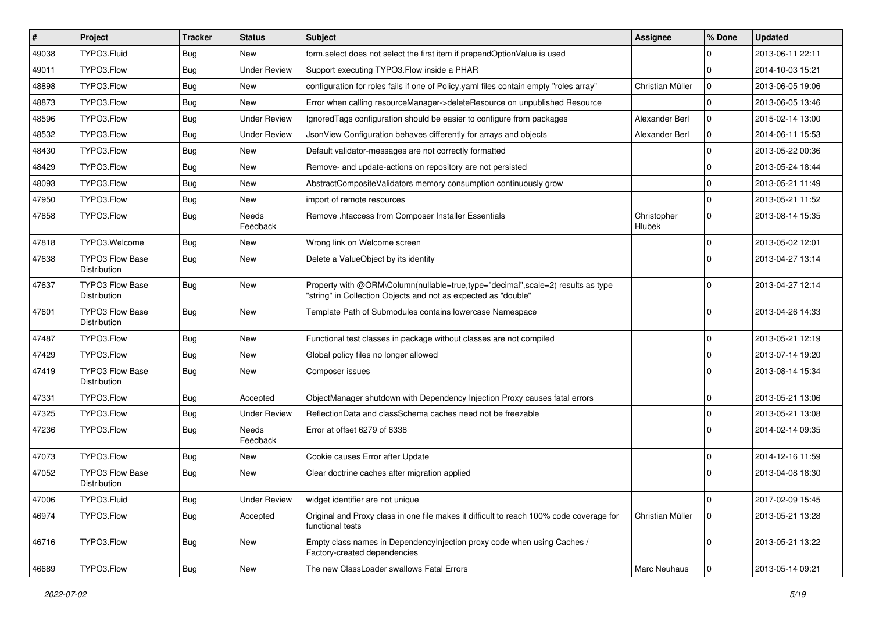| #     | Project                                | <b>Tracker</b> | <b>Status</b>            | <b>Subject</b>                                                                                                                                    | <b>Assignee</b>       | % Done       | <b>Updated</b>   |
|-------|----------------------------------------|----------------|--------------------------|---------------------------------------------------------------------------------------------------------------------------------------------------|-----------------------|--------------|------------------|
| 49038 | TYPO3.Fluid                            | Bug            | New                      | form select does not select the first item if prependOptionValue is used                                                                          |                       | 0            | 2013-06-11 22:11 |
| 49011 | TYPO3.Flow                             | Bug            | <b>Under Review</b>      | Support executing TYPO3. Flow inside a PHAR                                                                                                       |                       | $\mathbf 0$  | 2014-10-03 15:21 |
| 48898 | TYPO3.Flow                             | Bug            | New                      | configuration for roles fails if one of Policy yaml files contain empty "roles array"                                                             | Christian Müller      | $\mathbf 0$  | 2013-06-05 19:06 |
| 48873 | TYPO3.Flow                             | Bug            | New                      | Error when calling resourceManager->deleteResource on unpublished Resource                                                                        |                       | $\mathbf 0$  | 2013-06-05 13:46 |
| 48596 | TYPO3.Flow                             | Bug            | <b>Under Review</b>      | Ignored Tags configuration should be easier to configure from packages                                                                            | Alexander Berl        | 0            | 2015-02-14 13:00 |
| 48532 | TYPO3.Flow                             | Bug            | <b>Under Review</b>      | JsonView Configuration behaves differently for arrays and objects                                                                                 | Alexander Berl        | 0            | 2014-06-11 15:53 |
| 48430 | TYPO3.Flow                             | Bug            | <b>New</b>               | Default validator-messages are not correctly formatted                                                                                            |                       | $\mathbf 0$  | 2013-05-22 00:36 |
| 48429 | TYPO3.Flow                             | Bug            | New                      | Remove- and update-actions on repository are not persisted                                                                                        |                       | 0            | 2013-05-24 18:44 |
| 48093 | TYPO3.Flow                             | Bug            | New                      | AbstractCompositeValidators memory consumption continuously grow                                                                                  |                       | $\mathbf 0$  | 2013-05-21 11:49 |
| 47950 | TYPO3.Flow                             | <b>Bug</b>     | <b>New</b>               | import of remote resources                                                                                                                        |                       | $\mathbf 0$  | 2013-05-21 11:52 |
| 47858 | TYPO3.Flow                             | Bug            | Needs<br>Feedback        | Remove .htaccess from Composer Installer Essentials                                                                                               | Christopher<br>Hlubek | $\mathbf 0$  | 2013-08-14 15:35 |
| 47818 | TYPO3.Welcome                          | <b>Bug</b>     | <b>New</b>               | Wrong link on Welcome screen                                                                                                                      |                       | $\mathbf{0}$ | 2013-05-02 12:01 |
| 47638 | <b>TYPO3 Flow Base</b><br>Distribution | <b>Bug</b>     | New                      | Delete a ValueObject by its identity                                                                                                              |                       | $\Omega$     | 2013-04-27 13:14 |
| 47637 | TYPO3 Flow Base<br><b>Distribution</b> | <b>Bug</b>     | <b>New</b>               | Property with @ORM\Column(nullable=true,type="decimal",scale=2) results as type<br>"string" in Collection Objects and not as expected as "double" |                       | $\mathbf 0$  | 2013-04-27 12:14 |
| 47601 | TYPO3 Flow Base<br>Distribution        | Bug            | <b>New</b>               | Template Path of Submodules contains lowercase Namespace                                                                                          |                       | $\mathbf 0$  | 2013-04-26 14:33 |
| 47487 | TYPO3.Flow                             | Bug            | <b>New</b>               | Functional test classes in package without classes are not compiled                                                                               |                       | $\mathbf 0$  | 2013-05-21 12:19 |
| 47429 | TYPO3.Flow                             | <b>Bug</b>     | <b>New</b>               | Global policy files no longer allowed                                                                                                             |                       | $\mathbf 0$  | 2013-07-14 19:20 |
| 47419 | <b>TYPO3 Flow Base</b><br>Distribution | Bug            | New                      | Composer issues                                                                                                                                   |                       | $\Omega$     | 2013-08-14 15:34 |
| 47331 | TYPO3.Flow                             | <b>Bug</b>     | Accepted                 | ObjectManager shutdown with Dependency Injection Proxy causes fatal errors                                                                        |                       | $\mathbf 0$  | 2013-05-21 13:06 |
| 47325 | TYPO3.Flow                             | Bug            | <b>Under Review</b>      | ReflectionData and classSchema caches need not be freezable                                                                                       |                       | $\mathbf 0$  | 2013-05-21 13:08 |
| 47236 | TYPO3.Flow                             | <b>Bug</b>     | <b>Needs</b><br>Feedback | Error at offset 6279 of 6338                                                                                                                      |                       | $\Omega$     | 2014-02-14 09:35 |
| 47073 | TYPO3.Flow                             | <b>Bug</b>     | New                      | Cookie causes Error after Update                                                                                                                  |                       | $\mathbf 0$  | 2014-12-16 11:59 |
| 47052 | <b>TYPO3 Flow Base</b><br>Distribution | Bug            | <b>New</b>               | Clear doctrine caches after migration applied                                                                                                     |                       | $\Omega$     | 2013-04-08 18:30 |
| 47006 | TYPO3.Fluid                            | <b>Bug</b>     | <b>Under Review</b>      | widget identifier are not unique                                                                                                                  |                       | $\pmb{0}$    | 2017-02-09 15:45 |
| 46974 | TYPO3.Flow                             | <b>Bug</b>     | Accepted                 | Original and Proxy class in one file makes it difficult to reach 100% code coverage for<br>functional tests                                       | Christian Müller      | $\mathbf 0$  | 2013-05-21 13:28 |
| 46716 | TYPO3.Flow                             | <b>Bug</b>     | <b>New</b>               | Empty class names in Dependencylniection proxy code when using Caches /<br>Factory-created dependencies                                           |                       | $\mathbf{0}$ | 2013-05-21 13:22 |
| 46689 | TYPO3.Flow                             | Bug            | New                      | The new ClassLoader swallows Fatal Errors                                                                                                         | Marc Neuhaus          | 0            | 2013-05-14 09:21 |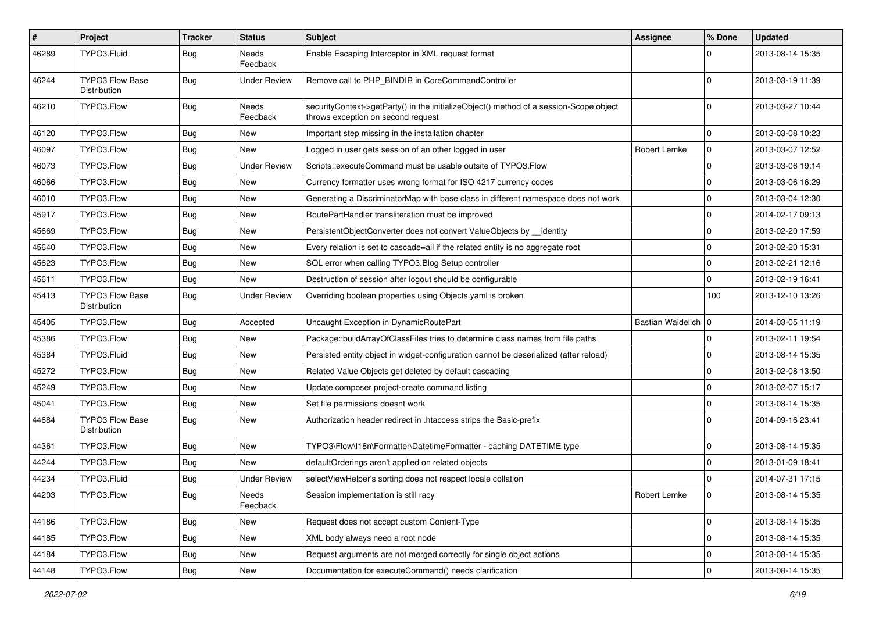| #     | Project                                       | <b>Tracker</b> | <b>Status</b>            | <b>Subject</b>                                                                                                               | <b>Assignee</b>       | % Done         | <b>Updated</b>   |
|-------|-----------------------------------------------|----------------|--------------------------|------------------------------------------------------------------------------------------------------------------------------|-----------------------|----------------|------------------|
| 46289 | TYPO3.Fluid                                   | Bug            | Needs<br>Feedback        | Enable Escaping Interceptor in XML request format                                                                            |                       | $\Omega$       | 2013-08-14 15:35 |
| 46244 | TYPO3 Flow Base<br>Distribution               | Bug            | <b>Under Review</b>      | Remove call to PHP_BINDIR in CoreCommandController                                                                           |                       | $\Omega$       | 2013-03-19 11:39 |
| 46210 | TYPO3.Flow                                    | Bug            | <b>Needs</b><br>Feedback | securityContext->getParty() in the initializeObject() method of a session-Scope object<br>throws exception on second request |                       | $\Omega$       | 2013-03-27 10:44 |
| 46120 | TYPO3.Flow                                    | Bug            | <b>New</b>               | Important step missing in the installation chapter                                                                           |                       | $\mathbf 0$    | 2013-03-08 10:23 |
| 46097 | TYPO3.Flow                                    | Bug            | New                      | Logged in user gets session of an other logged in user                                                                       | Robert Lemke          | $\mathbf 0$    | 2013-03-07 12:52 |
| 46073 | TYPO3.Flow                                    | Bug            | <b>Under Review</b>      | Scripts::executeCommand must be usable outsite of TYPO3.Flow                                                                 |                       | $\mathbf 0$    | 2013-03-06 19:14 |
| 46066 | TYPO3.Flow                                    | <b>Bug</b>     | <b>New</b>               | Currency formatter uses wrong format for ISO 4217 currency codes                                                             |                       | $\mathbf 0$    | 2013-03-06 16:29 |
| 46010 | TYPO3.Flow                                    | Bug            | New                      | Generating a DiscriminatorMap with base class in different namespace does not work                                           |                       | $\mathbf 0$    | 2013-03-04 12:30 |
| 45917 | TYPO3.Flow                                    | Bug            | <b>New</b>               | RoutePartHandler transliteration must be improved                                                                            |                       | $\mathbf 0$    | 2014-02-17 09:13 |
| 45669 | TYPO3.Flow                                    | <b>Bug</b>     | <b>New</b>               | PersistentObjectConverter does not convert ValueObjects by __identity                                                        |                       | $\mathbf 0$    | 2013-02-20 17:59 |
| 45640 | TYPO3.Flow                                    | Bug            | <b>New</b>               | Every relation is set to cascade=all if the related entity is no aggregate root                                              |                       | $\mathbf 0$    | 2013-02-20 15:31 |
| 45623 | TYPO3.Flow                                    | <b>Bug</b>     | <b>New</b>               | SQL error when calling TYPO3.Blog Setup controller                                                                           |                       | $\mathbf 0$    | 2013-02-21 12:16 |
| 45611 | TYPO3.Flow                                    | Bug            | <b>New</b>               | Destruction of session after logout should be configurable                                                                   |                       | $\mathbf 0$    | 2013-02-19 16:41 |
| 45413 | <b>TYPO3 Flow Base</b><br>Distribution        | Bug            | <b>Under Review</b>      | Overriding boolean properties using Objects yaml is broken                                                                   |                       | 100            | 2013-12-10 13:26 |
| 45405 | TYPO3.Flow                                    | Bug            | Accepted                 | Uncaught Exception in DynamicRoutePart                                                                                       | Bastian Waidelich   0 |                | 2014-03-05 11:19 |
| 45386 | TYPO3.Flow                                    | Bug            | New                      | Package::buildArrayOfClassFiles tries to determine class names from file paths                                               |                       | $\mathbf 0$    | 2013-02-11 19:54 |
| 45384 | TYPO3.Fluid                                   | Bug            | New                      | Persisted entity object in widget-configuration cannot be deserialized (after reload)                                        |                       | $\mathbf 0$    | 2013-08-14 15:35 |
| 45272 | TYPO3.Flow                                    | Bug            | <b>New</b>               | Related Value Objects get deleted by default cascading                                                                       |                       | $\mathbf 0$    | 2013-02-08 13:50 |
| 45249 | TYPO3.Flow                                    | <b>Bug</b>     | <b>New</b>               | Update composer project-create command listing                                                                               |                       | $\mathbf 0$    | 2013-02-07 15:17 |
| 45041 | TYPO3.Flow                                    | <b>Bug</b>     | New                      | Set file permissions doesnt work                                                                                             |                       | $\mathbf 0$    | 2013-08-14 15:35 |
| 44684 | <b>TYPO3 Flow Base</b><br><b>Distribution</b> | Bug            | New                      | Authorization header redirect in .htaccess strips the Basic-prefix                                                           |                       | $\Omega$       | 2014-09-16 23:41 |
| 44361 | TYPO3.Flow                                    | <b>Bug</b>     | <b>New</b>               | TYPO3\Flow\I18n\Formatter\DatetimeFormatter - caching DATETIME type                                                          |                       | $\mathbf 0$    | 2013-08-14 15:35 |
| 44244 | TYPO3.Flow                                    | <b>Bug</b>     | New                      | defaultOrderings aren't applied on related objects                                                                           |                       | $\Omega$       | 2013-01-09 18:41 |
| 44234 | TYPO3.Fluid                                   | Bug            | <b>Under Review</b>      | selectViewHelper's sorting does not respect locale collation                                                                 |                       | $\mathbf 0$    | 2014-07-31 17:15 |
| 44203 | TYPO3.Flow                                    | <b>Bug</b>     | Needs<br>Feedback        | Session implementation is still racy                                                                                         | Robert Lemke          | $\overline{0}$ | 2013-08-14 15:35 |
| 44186 | TYPO3.Flow                                    | Bug            | New                      | Request does not accept custom Content-Type                                                                                  |                       | $\overline{0}$ | 2013-08-14 15:35 |
| 44185 | TYPO3.Flow                                    | <b>Bug</b>     | New                      | XML body always need a root node                                                                                             |                       | $\mathbf 0$    | 2013-08-14 15:35 |
| 44184 | TYPO3.Flow                                    | <b>Bug</b>     | New                      | Request arguments are not merged correctly for single object actions                                                         |                       | $\mathbf 0$    | 2013-08-14 15:35 |
| 44148 | TYPO3.Flow                                    | Bug            | New                      | Documentation for executeCommand() needs clarification                                                                       |                       | $\pmb{0}$      | 2013-08-14 15:35 |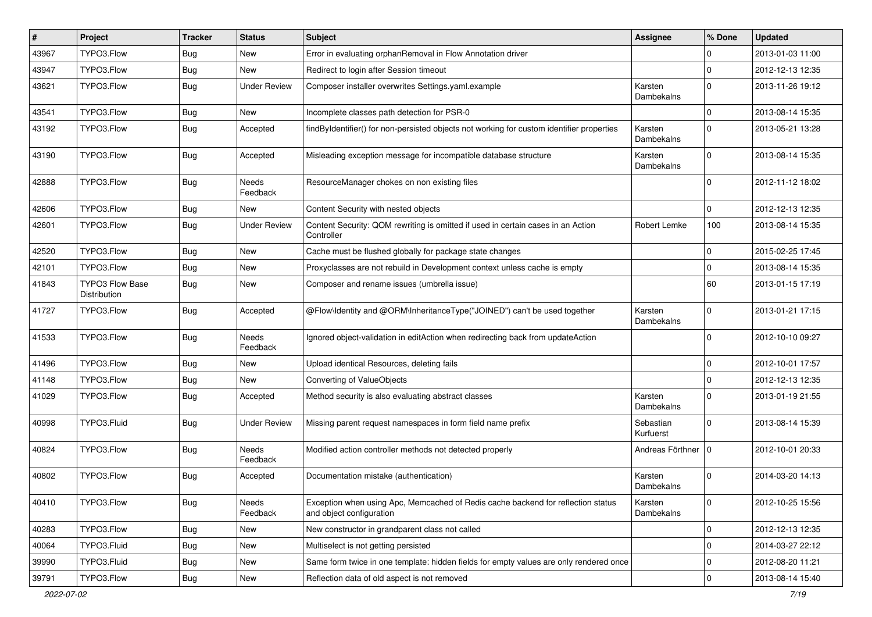| $\#$  | Project                                | <b>Tracker</b> | <b>Status</b>            | <b>Subject</b>                                                                                               | <b>Assignee</b>        | % Done         | <b>Updated</b>   |
|-------|----------------------------------------|----------------|--------------------------|--------------------------------------------------------------------------------------------------------------|------------------------|----------------|------------------|
| 43967 | TYPO3.Flow                             | Bug            | New                      | Error in evaluating orphanRemoval in Flow Annotation driver                                                  |                        | $\mathbf 0$    | 2013-01-03 11:00 |
| 43947 | TYPO3.Flow                             | Bug            | <b>New</b>               | Redirect to login after Session timeout                                                                      |                        | $\mathbf 0$    | 2012-12-13 12:35 |
| 43621 | TYPO3.Flow                             | Bug            | <b>Under Review</b>      | Composer installer overwrites Settings.yaml.example                                                          | Karsten<br>Dambekalns  | $\Omega$       | 2013-11-26 19:12 |
| 43541 | TYPO3.Flow                             | <b>Bug</b>     | <b>New</b>               | Incomplete classes path detection for PSR-0                                                                  |                        | $\mathbf 0$    | 2013-08-14 15:35 |
| 43192 | TYPO3.Flow                             | <b>Bug</b>     | Accepted                 | findByIdentifier() for non-persisted objects not working for custom identifier properties                    | Karsten<br>Dambekalns  | $\Omega$       | 2013-05-21 13:28 |
| 43190 | TYPO3.Flow                             | <b>Bug</b>     | Accepted                 | Misleading exception message for incompatible database structure                                             | Karsten<br>Dambekalns  | $\Omega$       | 2013-08-14 15:35 |
| 42888 | TYPO3.Flow                             | Bug            | <b>Needs</b><br>Feedback | ResourceManager chokes on non existing files                                                                 |                        | $\Omega$       | 2012-11-12 18:02 |
| 42606 | TYPO3.Flow                             | <b>Bug</b>     | New                      | Content Security with nested objects                                                                         |                        | $\Omega$       | 2012-12-13 12:35 |
| 42601 | TYPO3.Flow                             | Bug            | <b>Under Review</b>      | Content Security: QOM rewriting is omitted if used in certain cases in an Action<br>Controller               | Robert Lemke           | 100            | 2013-08-14 15:35 |
| 42520 | TYPO3.Flow                             | Bug            | <b>New</b>               | Cache must be flushed globally for package state changes                                                     |                        | $\mathbf 0$    | 2015-02-25 17:45 |
| 42101 | TYPO3.Flow                             | <b>Bug</b>     | <b>New</b>               | Proxyclasses are not rebuild in Development context unless cache is empty                                    |                        | $\mathbf 0$    | 2013-08-14 15:35 |
| 41843 | <b>TYPO3 Flow Base</b><br>Distribution | Bug            | New                      | Composer and rename issues (umbrella issue)                                                                  |                        | 60             | 2013-01-15 17:19 |
| 41727 | TYPO3.Flow                             | <b>Bug</b>     | Accepted                 | @Flow\Identity and @ORM\InheritanceType("JOINED") can't be used together                                     | Karsten<br>Dambekalns  | $\Omega$       | 2013-01-21 17:15 |
| 41533 | TYPO3.Flow                             | <b>Bug</b>     | <b>Needs</b><br>Feedback | Ignored object-validation in editAction when redirecting back from updateAction                              |                        | $\Omega$       | 2012-10-10 09:27 |
| 41496 | TYPO3.Flow                             | <b>Bug</b>     | New                      | Upload identical Resources, deleting fails                                                                   |                        | $\mathbf 0$    | 2012-10-01 17:57 |
| 41148 | TYPO3.Flow                             | Bug            | <b>New</b>               | Converting of ValueObjects                                                                                   |                        | $\overline{0}$ | 2012-12-13 12:35 |
| 41029 | TYPO3.Flow                             | Bug            | Accepted                 | Method security is also evaluating abstract classes                                                          | Karsten<br>Dambekalns  | $\Omega$       | 2013-01-19 21:55 |
| 40998 | TYPO3.Fluid                            | <b>Bug</b>     | <b>Under Review</b>      | Missing parent request namespaces in form field name prefix                                                  | Sebastian<br>Kurfuerst | $\Omega$       | 2013-08-14 15:39 |
| 40824 | TYPO3.Flow                             | <b>Bug</b>     | <b>Needs</b><br>Feedback | Modified action controller methods not detected properly                                                     | Andreas Förthner       | l 0            | 2012-10-01 20:33 |
| 40802 | TYPO3.Flow                             | Bug            | Accepted                 | Documentation mistake (authentication)                                                                       | Karsten<br>Dambekalns  | $\Omega$       | 2014-03-20 14:13 |
| 40410 | TYPO3.Flow                             | <b>Bug</b>     | Needs<br>Feedback        | Exception when using Apc, Memcached of Redis cache backend for reflection status<br>and object configuration | Karsten<br>Dambekalns  | $\mathbf 0$    | 2012-10-25 15:56 |
| 40283 | TYPO3.Flow                             | <b>Bug</b>     | New                      | New constructor in grandparent class not called                                                              |                        | $\mathbf 0$    | 2012-12-13 12:35 |
| 40064 | TYPO3.Fluid                            | <b>Bug</b>     | <b>New</b>               | Multiselect is not getting persisted                                                                         |                        | $\mathbf 0$    | 2014-03-27 22:12 |
| 39990 | TYPO3.Fluid                            | <b>Bug</b>     | <b>New</b>               | Same form twice in one template: hidden fields for empty values are only rendered once                       |                        | $\mathbf 0$    | 2012-08-20 11:21 |
| 39791 | TYPO3.Flow                             | Bug            | New                      | Reflection data of old aspect is not removed                                                                 |                        | $\mathbf 0$    | 2013-08-14 15:40 |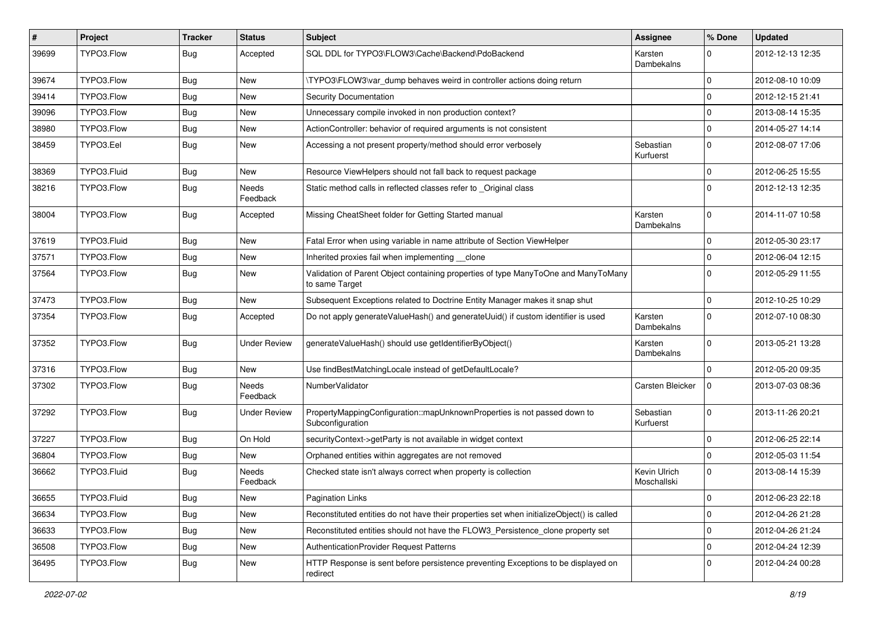| $\vert$ # | Project     | <b>Tracker</b> | <b>Status</b>            | Subject                                                                                              | <b>Assignee</b>             | % Done      | <b>Updated</b>   |
|-----------|-------------|----------------|--------------------------|------------------------------------------------------------------------------------------------------|-----------------------------|-------------|------------------|
| 39699     | TYPO3.Flow  | <b>Bug</b>     | Accepted                 | SQL DDL for TYPO3\FLOW3\Cache\Backend\PdoBackend                                                     | Karsten<br>Dambekalns       | $\Omega$    | 2012-12-13 12:35 |
| 39674     | TYPO3.Flow  | Bug            | New                      | \TYPO3\FLOW3\var dump behaves weird in controller actions doing return                               |                             | $\Omega$    | 2012-08-10 10:09 |
| 39414     | TYPO3.Flow  | Bug            | New                      | <b>Security Documentation</b>                                                                        |                             | $\Omega$    | 2012-12-15 21:41 |
| 39096     | TYPO3.Flow  | <b>Bug</b>     | <b>New</b>               | Unnecessary compile invoked in non production context?                                               |                             | $\Omega$    | 2013-08-14 15:35 |
| 38980     | TYPO3.Flow  | <b>Bug</b>     | New                      | ActionController: behavior of required arguments is not consistent                                   |                             | $\mathbf 0$ | 2014-05-27 14:14 |
| 38459     | TYPO3.Eel   | <b>Bug</b>     | New                      | Accessing a not present property/method should error verbosely                                       | Sebastian<br>Kurfuerst      | $\Omega$    | 2012-08-07 17:06 |
| 38369     | TYPO3.Fluid | Bug            | New                      | Resource ViewHelpers should not fall back to request package                                         |                             | $\Omega$    | 2012-06-25 15:55 |
| 38216     | TYPO3.Flow  | <b>Bug</b>     | <b>Needs</b><br>Feedback | Static method calls in reflected classes refer to _Original class                                    |                             | $\Omega$    | 2012-12-13 12:35 |
| 38004     | TYPO3.Flow  | Bug            | Accepted                 | Missing CheatSheet folder for Getting Started manual                                                 | Karsten<br>Dambekalns       | $\Omega$    | 2014-11-07 10:58 |
| 37619     | TYPO3.Fluid | <b>Bug</b>     | <b>New</b>               | Fatal Error when using variable in name attribute of Section ViewHelper                              |                             | $\Omega$    | 2012-05-30 23:17 |
| 37571     | TYPO3.Flow  | Bug            | New                      | Inherited proxies fail when implementing __clone                                                     |                             | $\Omega$    | 2012-06-04 12:15 |
| 37564     | TYPO3.Flow  | Bug            | New                      | Validation of Parent Object containing properties of type ManyToOne and ManyToMany<br>to same Target |                             | $\Omega$    | 2012-05-29 11:55 |
| 37473     | TYPO3.Flow  | <b>Bug</b>     | <b>New</b>               | Subsequent Exceptions related to Doctrine Entity Manager makes it snap shut                          |                             | $\Omega$    | 2012-10-25 10:29 |
| 37354     | TYPO3.Flow  | Bug            | Accepted                 | Do not apply generateValueHash() and generateUuid() if custom identifier is used                     | Karsten<br>Dambekalns       | $\Omega$    | 2012-07-10 08:30 |
| 37352     | TYPO3.Flow  | <b>Bug</b>     | <b>Under Review</b>      | generateValueHash() should use getIdentifierByObject()                                               | Karsten<br>Dambekalns       | $\Omega$    | 2013-05-21 13:28 |
| 37316     | TYPO3.Flow  | <b>Bug</b>     | <b>New</b>               | Use findBestMatchingLocale instead of getDefaultLocale?                                              |                             | $\Omega$    | 2012-05-20 09:35 |
| 37302     | TYPO3.Flow  | Bug            | <b>Needs</b><br>Feedback | NumberValidator                                                                                      | Carsten Bleicker            | $\Omega$    | 2013-07-03 08:36 |
| 37292     | TYPO3.Flow  | Bug            | <b>Under Review</b>      | PropertyMappingConfiguration::mapUnknownProperties is not passed down to<br>Subconfiguration         | Sebastian<br>Kurfuerst      | $\Omega$    | 2013-11-26 20:21 |
| 37227     | TYPO3.Flow  | Bug            | On Hold                  | securityContext->getParty is not available in widget context                                         |                             | $\Omega$    | 2012-06-25 22:14 |
| 36804     | TYPO3.Flow  | <b>Bug</b>     | <b>New</b>               | Orphaned entities within aggregates are not removed                                                  |                             | $\Omega$    | 2012-05-03 11:54 |
| 36662     | TYPO3.Fluid | Bug            | Needs<br>Feedback        | Checked state isn't always correct when property is collection                                       | Kevin Ulrich<br>Moschallski | $\Omega$    | 2013-08-14 15:39 |
| 36655     | TYPO3.Fluid | <b>Bug</b>     | <b>New</b>               | <b>Pagination Links</b>                                                                              |                             | 0           | 2012-06-23 22:18 |
| 36634     | TYPO3.Flow  | <b>Bug</b>     | New                      | Reconstituted entities do not have their properties set when initializeObject() is called            |                             | $\mathbf 0$ | 2012-04-26 21:28 |
| 36633     | TYPO3.Flow  | <b>Bug</b>     | <b>New</b>               | Reconstituted entities should not have the FLOW3_Persistence_clone property set                      |                             | $\mathbf 0$ | 2012-04-26 21:24 |
| 36508     | TYPO3.Flow  | Bug            | New                      | AuthenticationProvider Request Patterns                                                              |                             | 0           | 2012-04-24 12:39 |
| 36495     | TYPO3.Flow  | <b>Bug</b>     | New                      | HTTP Response is sent before persistence preventing Exceptions to be displayed on<br>redirect        |                             | $\Omega$    | 2012-04-24 00:28 |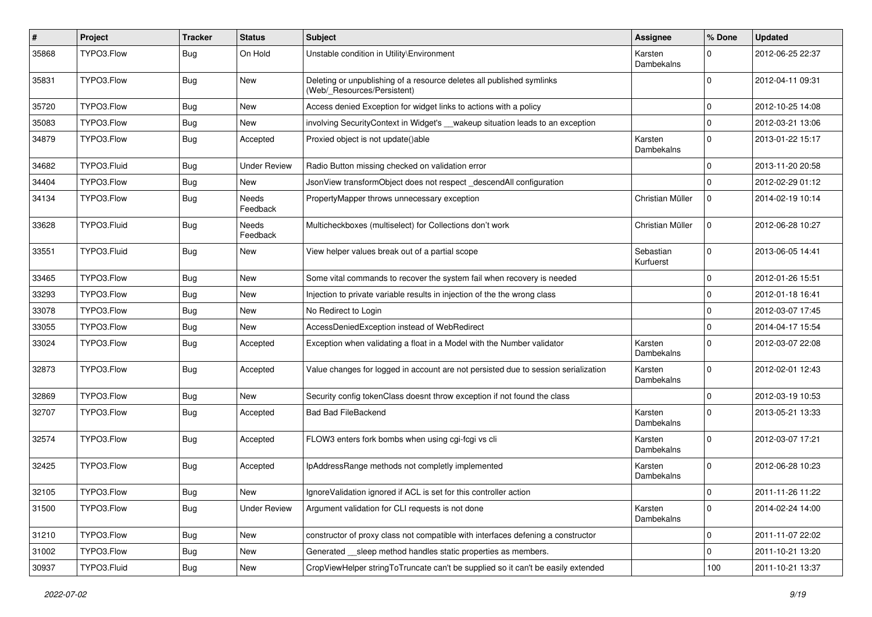| #     | Project     | <b>Tracker</b> | <b>Status</b>            | <b>Subject</b>                                                                                       | <b>Assignee</b>        | % Done       | <b>Updated</b>   |
|-------|-------------|----------------|--------------------------|------------------------------------------------------------------------------------------------------|------------------------|--------------|------------------|
| 35868 | TYPO3.Flow  | Bug            | On Hold                  | Unstable condition in Utility\Environment                                                            | Karsten<br>Dambekalns  | $\Omega$     | 2012-06-25 22:37 |
| 35831 | TYPO3.Flow  | <b>Bug</b>     | <b>New</b>               | Deleting or unpublishing of a resource deletes all published symlinks<br>(Web/_Resources/Persistent) |                        | $\Omega$     | 2012-04-11 09:31 |
| 35720 | TYPO3.Flow  | Bug            | <b>New</b>               | Access denied Exception for widget links to actions with a policy                                    |                        | $\mathbf 0$  | 2012-10-25 14:08 |
| 35083 | TYPO3.Flow  | Bug            | <b>New</b>               | involving SecurityContext in Widget's __wakeup situation leads to an exception                       |                        | $\mathbf 0$  | 2012-03-21 13:06 |
| 34879 | TYPO3.Flow  | Bug            | Accepted                 | Proxied object is not update()able                                                                   | Karsten<br>Dambekalns  | $\Omega$     | 2013-01-22 15:17 |
| 34682 | TYPO3.Fluid | Bug            | <b>Under Review</b>      | Radio Button missing checked on validation error                                                     |                        | $\mathbf 0$  | 2013-11-20 20:58 |
| 34404 | TYPO3.Flow  | <b>Bug</b>     | <b>New</b>               | JsonView transformObject does not respect _descendAll configuration                                  |                        | $\Omega$     | 2012-02-29 01:12 |
| 34134 | TYPO3.Flow  | Bug            | <b>Needs</b><br>Feedback | PropertyMapper throws unnecessary exception                                                          | Christian Müller       | $\mathbf 0$  | 2014-02-19 10:14 |
| 33628 | TYPO3.Fluid | <b>Bug</b>     | Needs<br>Feedback        | Multicheckboxes (multiselect) for Collections don't work                                             | Christian Müller       | $\mathbf 0$  | 2012-06-28 10:27 |
| 33551 | TYPO3.Fluid | Bug            | <b>New</b>               | View helper values break out of a partial scope                                                      | Sebastian<br>Kurfuerst | $\Omega$     | 2013-06-05 14:41 |
| 33465 | TYPO3.Flow  | <b>Bug</b>     | <b>New</b>               | Some vital commands to recover the system fail when recovery is needed                               |                        | $\mathbf 0$  | 2012-01-26 15:51 |
| 33293 | TYPO3.Flow  | <b>Bug</b>     | <b>New</b>               | Injection to private variable results in injection of the the wrong class                            |                        | $\mathbf 0$  | 2012-01-18 16:41 |
| 33078 | TYPO3.Flow  | Bug            | New                      | No Redirect to Login                                                                                 |                        | $\Omega$     | 2012-03-07 17:45 |
| 33055 | TYPO3.Flow  | Bug            | <b>New</b>               | AccessDeniedException instead of WebRedirect                                                         |                        | $\mathbf 0$  | 2014-04-17 15:54 |
| 33024 | TYPO3.Flow  | Bug            | Accepted                 | Exception when validating a float in a Model with the Number validator                               | Karsten<br>Dambekalns  | $\Omega$     | 2012-03-07 22:08 |
| 32873 | TYPO3.Flow  | Bug            | Accepted                 | Value changes for logged in account are not persisted due to session serialization                   | Karsten<br>Dambekalns  | $\Omega$     | 2012-02-01 12:43 |
| 32869 | TYPO3.Flow  | <b>Bug</b>     | New                      | Security config tokenClass doesnt throw exception if not found the class                             |                        | $\Omega$     | 2012-03-19 10:53 |
| 32707 | TYPO3.Flow  | Bug            | Accepted                 | <b>Bad Bad FileBackend</b>                                                                           | Karsten<br>Dambekalns  | $\Omega$     | 2013-05-21 13:33 |
| 32574 | TYPO3.Flow  | Bug            | Accepted                 | FLOW3 enters fork bombs when using cgi-fcgi vs cli                                                   | Karsten<br>Dambekalns  | $\Omega$     | 2012-03-07 17:21 |
| 32425 | TYPO3.Flow  | Bug            | Accepted                 | IpAddressRange methods not completly implemented                                                     | Karsten<br>Dambekalns  | $\Omega$     | 2012-06-28 10:23 |
| 32105 | TYPO3.Flow  | Bug            | New                      | IgnoreValidation ignored if ACL is set for this controller action                                    |                        | $\mathbf 0$  | 2011-11-26 11:22 |
| 31500 | TYPO3.Flow  | Bug            | <b>Under Review</b>      | Argument validation for CLI requests is not done                                                     | Karsten<br>Dambekalns  | $\mathbf{0}$ | 2014-02-24 14:00 |
| 31210 | TYPO3.Flow  | Bug            | New                      | constructor of proxy class not compatible with interfaces defening a constructor                     |                        | $\mathbf 0$  | 2011-11-07 22:02 |
| 31002 | TYPO3.Flow  | <b>Bug</b>     | New                      | Generated __sleep method handles static properties as members.                                       |                        | $\mathbf 0$  | 2011-10-21 13:20 |
| 30937 | TYPO3.Fluid | <b>Bug</b>     | New                      | CropViewHelper stringToTruncate can't be supplied so it can't be easily extended                     |                        | 100          | 2011-10-21 13:37 |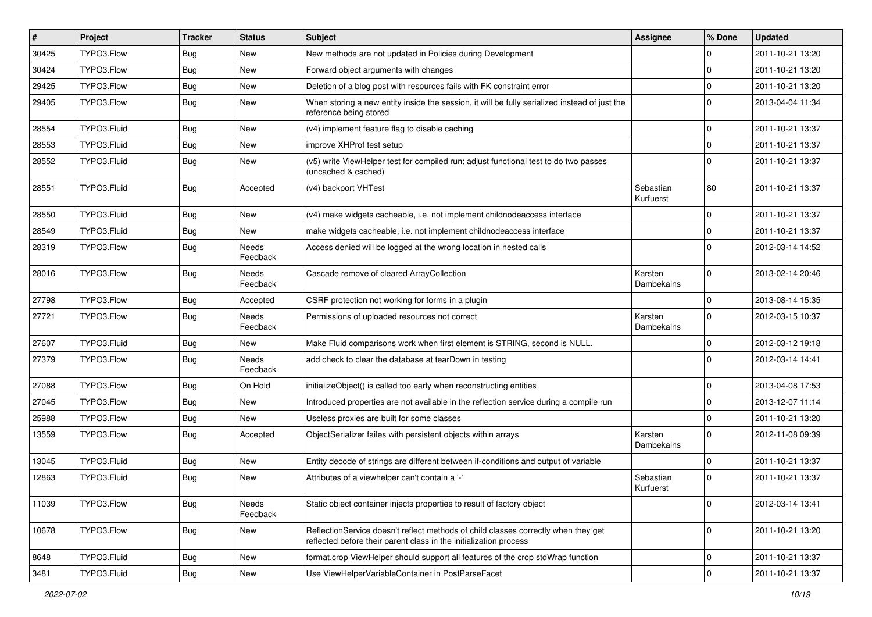| $\#$  | Project     | <b>Tracker</b> | <b>Status</b>            | Subject                                                                                                                                                 | <b>Assignee</b>        | % Done       | <b>Updated</b>   |
|-------|-------------|----------------|--------------------------|---------------------------------------------------------------------------------------------------------------------------------------------------------|------------------------|--------------|------------------|
| 30425 | TYPO3.Flow  | <b>Bug</b>     | New                      | New methods are not updated in Policies during Development                                                                                              |                        | 0            | 2011-10-21 13:20 |
| 30424 | TYPO3.Flow  | Bug            | <b>New</b>               | Forward object arguments with changes                                                                                                                   |                        | $\mathbf 0$  | 2011-10-21 13:20 |
| 29425 | TYPO3.Flow  | Bug            | New                      | Deletion of a blog post with resources fails with FK constraint error                                                                                   |                        | $\mathbf 0$  | 2011-10-21 13:20 |
| 29405 | TYPO3.Flow  | Bug            | New                      | When storing a new entity inside the session, it will be fully serialized instead of just the<br>reference being stored                                 |                        | $\mathbf 0$  | 2013-04-04 11:34 |
| 28554 | TYPO3.Fluid | Bug            | New                      | (v4) implement feature flag to disable caching                                                                                                          |                        | $\mathbf 0$  | 2011-10-21 13:37 |
| 28553 | TYPO3.Fluid | Bug            | New                      | improve XHProf test setup                                                                                                                               |                        | $\mathbf{0}$ | 2011-10-21 13:37 |
| 28552 | TYPO3.Fluid | Bug            | New                      | (v5) write ViewHelper test for compiled run; adjust functional test to do two passes<br>(uncached & cached)                                             |                        | $\mathbf 0$  | 2011-10-21 13:37 |
| 28551 | TYPO3.Fluid | Bug            | Accepted                 | (v4) backport VHTest                                                                                                                                    | Sebastian<br>Kurfuerst | 80           | 2011-10-21 13:37 |
| 28550 | TYPO3.Fluid | Bug            | <b>New</b>               | (v4) make widgets cacheable, i.e. not implement childnodeaccess interface                                                                               |                        | $\mathbf 0$  | 2011-10-21 13:37 |
| 28549 | TYPO3.Fluid | Bug            | <b>New</b>               | make widgets cacheable, i.e. not implement childnodeaccess interface                                                                                    |                        | 0            | 2011-10-21 13:37 |
| 28319 | TYPO3.Flow  | Bug            | Needs<br>Feedback        | Access denied will be logged at the wrong location in nested calls                                                                                      |                        | $\Omega$     | 2012-03-14 14:52 |
| 28016 | TYPO3.Flow  | Bug            | <b>Needs</b><br>Feedback | Cascade remove of cleared ArrayCollection                                                                                                               | Karsten<br>Dambekalns  | $\Omega$     | 2013-02-14 20:46 |
| 27798 | TYPO3.Flow  | Bug            | Accepted                 | CSRF protection not working for forms in a plugin                                                                                                       |                        | $\mathbf{0}$ | 2013-08-14 15:35 |
| 27721 | TYPO3.Flow  | Bug            | Needs<br>Feedback        | Permissions of uploaded resources not correct                                                                                                           | Karsten<br>Dambekalns  | $\mathbf 0$  | 2012-03-15 10:37 |
| 27607 | TYPO3.Fluid | <b>Bug</b>     | New                      | Make Fluid comparisons work when first element is STRING, second is NULL.                                                                               |                        | $\mathbf{0}$ | 2012-03-12 19:18 |
| 27379 | TYPO3.Flow  | Bug            | Needs<br>Feedback        | add check to clear the database at tearDown in testing                                                                                                  |                        | $\Omega$     | 2012-03-14 14:41 |
| 27088 | TYPO3.Flow  | Bug            | On Hold                  | initializeObject() is called too early when reconstructing entities                                                                                     |                        | $\mathbf 0$  | 2013-04-08 17:53 |
| 27045 | TYPO3.Flow  | <b>Bug</b>     | New                      | Introduced properties are not available in the reflection service during a compile run                                                                  |                        | $\mathbf 0$  | 2013-12-07 11:14 |
| 25988 | TYPO3.Flow  | Bug            | <b>New</b>               | Useless proxies are built for some classes                                                                                                              |                        | $\mathbf 0$  | 2011-10-21 13:20 |
| 13559 | TYPO3.Flow  | Bug            | Accepted                 | ObjectSerializer failes with persistent objects within arrays                                                                                           | Karsten<br>Dambekalns  | $\mathbf 0$  | 2012-11-08 09:39 |
| 13045 | TYPO3.Fluid | <b>Bug</b>     | <b>New</b>               | Entity decode of strings are different between if-conditions and output of variable                                                                     |                        | $\mathbf{0}$ | 2011-10-21 13:37 |
| 12863 | TYPO3.Fluid | Bug            | New                      | Attributes of a viewhelper can't contain a '-'                                                                                                          | Sebastian<br>Kurfuerst | $\mathbf 0$  | 2011-10-21 13:37 |
| 11039 | TYPO3.Flow  | <b>Bug</b>     | Needs<br>Feedback        | Static object container injects properties to result of factory object                                                                                  |                        | 0            | 2012-03-14 13:41 |
| 10678 | TYPO3.Flow  | <b>Bug</b>     | New                      | ReflectionService doesn't reflect methods of child classes correctly when they get<br>reflected before their parent class in the initialization process |                        | $\mathbf{0}$ | 2011-10-21 13:20 |
| 8648  | TYPO3.Fluid | <b>Bug</b>     | New                      | format.crop ViewHelper should support all features of the crop stdWrap function                                                                         |                        | 0            | 2011-10-21 13:37 |
| 3481  | TYPO3.Fluid | <b>Bug</b>     | New                      | Use ViewHelperVariableContainer in PostParseFacet                                                                                                       |                        | 0            | 2011-10-21 13:37 |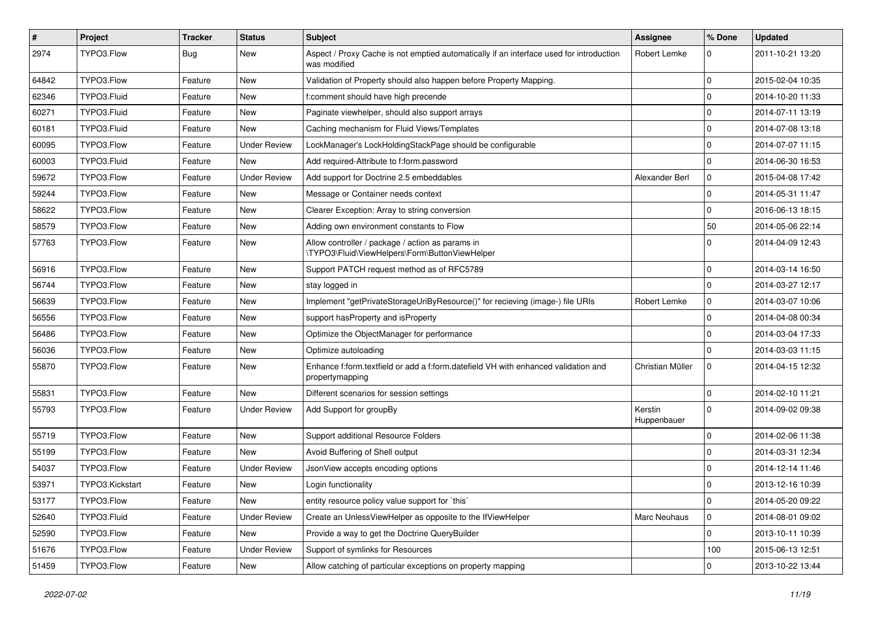| $\sharp$ | Project         | <b>Tracker</b> | <b>Status</b>       | Subject                                                                                                 | <b>Assignee</b>        | % Done      | <b>Updated</b>   |
|----------|-----------------|----------------|---------------------|---------------------------------------------------------------------------------------------------------|------------------------|-------------|------------------|
| 2974     | TYPO3.Flow      | Bug            | New                 | Aspect / Proxy Cache is not emptied automatically if an interface used for introduction<br>was modified | Robert Lemke           | 0           | 2011-10-21 13:20 |
| 64842    | TYPO3.Flow      | Feature        | New                 | Validation of Property should also happen before Property Mapping.                                      |                        | 0           | 2015-02-04 10:35 |
| 62346    | TYPO3.Fluid     | Feature        | New                 | f:comment should have high precende                                                                     |                        | $\mathbf 0$ | 2014-10-20 11:33 |
| 60271    | TYPO3.Fluid     | Feature        | <b>New</b>          | Paginate viewhelper, should also support arrays                                                         |                        | 0           | 2014-07-11 13:19 |
| 60181    | TYPO3.Fluid     | Feature        | New                 | Caching mechanism for Fluid Views/Templates                                                             |                        | 0           | 2014-07-08 13:18 |
| 60095    | TYPO3.Flow      | Feature        | <b>Under Review</b> | LockManager's LockHoldingStackPage should be configurable                                               |                        | $\pmb{0}$   | 2014-07-07 11:15 |
| 60003    | TYPO3.Fluid     | Feature        | New                 | Add required-Attribute to f:form.password                                                               |                        | $\mathbf 0$ | 2014-06-30 16:53 |
| 59672    | TYPO3.Flow      | Feature        | <b>Under Review</b> | Add support for Doctrine 2.5 embeddables                                                                | Alexander Berl         | 0           | 2015-04-08 17:42 |
| 59244    | TYPO3.Flow      | Feature        | <b>New</b>          | Message or Container needs context                                                                      |                        | 0           | 2014-05-31 11:47 |
| 58622    | TYPO3.Flow      | Feature        | New                 | Clearer Exception: Array to string conversion                                                           |                        | $\mathbf 0$ | 2016-06-13 18:15 |
| 58579    | TYPO3.Flow      | Feature        | New                 | Adding own environment constants to Flow                                                                |                        | 50          | 2014-05-06 22:14 |
| 57763    | TYPO3.Flow      | Feature        | New                 | Allow controller / package / action as params in<br>\TYPO3\Fluid\ViewHelpers\Form\ButtonViewHelper      |                        | $\mathbf 0$ | 2014-04-09 12:43 |
| 56916    | TYPO3.Flow      | Feature        | <b>New</b>          | Support PATCH request method as of RFC5789                                                              |                        | $\mathbf 0$ | 2014-03-14 16:50 |
| 56744    | TYPO3.Flow      | Feature        | New                 | stay logged in                                                                                          |                        | 0           | 2014-03-27 12:17 |
| 56639    | TYPO3.Flow      | Feature        | New                 | Implement "getPrivateStorageUriByResource()" for recieving (image-) file URIs                           | Robert Lemke           | 0           | 2014-03-07 10:06 |
| 56556    | TYPO3.Flow      | Feature        | <b>New</b>          | support has Property and is Property                                                                    |                        | 0           | 2014-04-08 00:34 |
| 56486    | TYPO3.Flow      | Feature        | New                 | Optimize the ObjectManager for performance                                                              |                        | $\pmb{0}$   | 2014-03-04 17:33 |
| 56036    | TYPO3.Flow      | Feature        | New                 | Optimize autoloading                                                                                    |                        | $\mathbf 0$ | 2014-03-03 11:15 |
| 55870    | TYPO3.Flow      | Feature        | New                 | Enhance f:form.textfield or add a f:form.datefield VH with enhanced validation and<br>propertymapping   | Christian Müller       | 0           | 2014-04-15 12:32 |
| 55831    | TYPO3.Flow      | Feature        | <b>New</b>          | Different scenarios for session settings                                                                |                        | 0           | 2014-02-10 11:21 |
| 55793    | TYPO3.Flow      | Feature        | <b>Under Review</b> | Add Support for groupBy                                                                                 | Kerstin<br>Huppenbauer | $\mathbf 0$ | 2014-09-02 09:38 |
| 55719    | TYPO3.Flow      | Feature        | <b>New</b>          | Support additional Resource Folders                                                                     |                        | 0           | 2014-02-06 11:38 |
| 55199    | TYPO3.Flow      | Feature        | New                 | Avoid Buffering of Shell output                                                                         |                        | $\pmb{0}$   | 2014-03-31 12:34 |
| 54037    | TYPO3.Flow      | Feature        | <b>Under Review</b> | JsonView accepts encoding options                                                                       |                        | $\mathbf 0$ | 2014-12-14 11:46 |
| 53971    | TYPO3.Kickstart | Feature        | New                 | Login functionality                                                                                     |                        | $\mathbf 0$ | 2013-12-16 10:39 |
| 53177    | TYPO3.Flow      | Feature        | New                 | entity resource policy value support for `this`                                                         |                        | $\pmb{0}$   | 2014-05-20 09:22 |
| 52640    | TYPO3.Fluid     | Feature        | <b>Under Review</b> | Create an UnlessViewHelper as opposite to the IfViewHelper                                              | Marc Neuhaus           | $\mathbf 0$ | 2014-08-01 09:02 |
| 52590    | TYPO3.Flow      | Feature        | New                 | Provide a way to get the Doctrine QueryBuilder                                                          |                        | $\mathbf 0$ | 2013-10-11 10:39 |
| 51676    | TYPO3.Flow      | Feature        | <b>Under Review</b> | Support of symlinks for Resources                                                                       |                        | 100         | 2015-06-13 12:51 |
| 51459    | TYPO3.Flow      | Feature        | New                 | Allow catching of particular exceptions on property mapping                                             |                        | 0           | 2013-10-22 13:44 |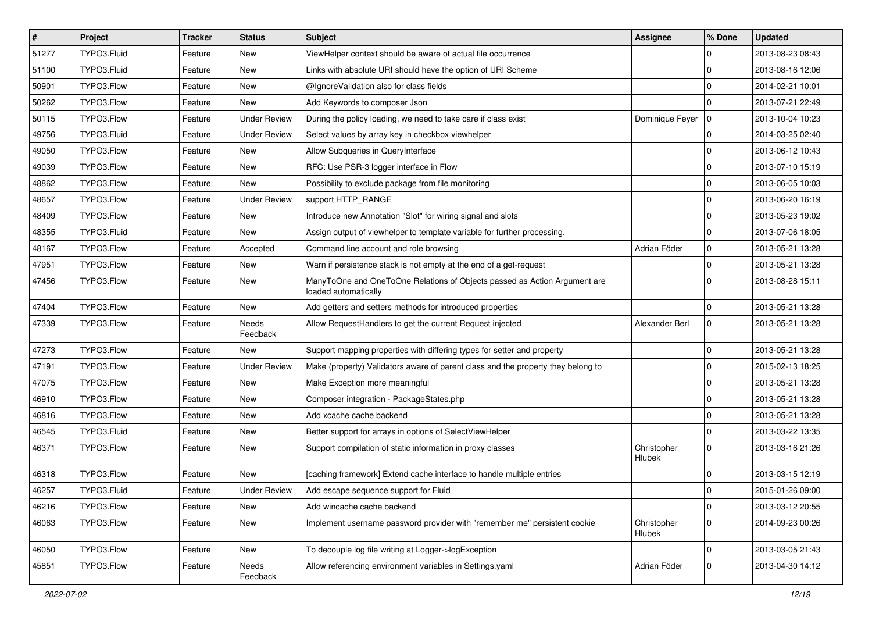| $\vert$ # | Project     | Tracker | <b>Status</b>            | Subject                                                                                           | <b>Assignee</b>       | ∣% Done        | <b>Updated</b>   |
|-----------|-------------|---------|--------------------------|---------------------------------------------------------------------------------------------------|-----------------------|----------------|------------------|
| 51277     | TYPO3.Fluid | Feature | New                      | ViewHelper context should be aware of actual file occurrence                                      |                       | $\Omega$       | 2013-08-23 08:43 |
| 51100     | TYPO3.Fluid | Feature | <b>New</b>               | Links with absolute URI should have the option of URI Scheme                                      |                       | $\Omega$       | 2013-08-16 12:06 |
| 50901     | TYPO3.Flow  | Feature | New                      | @IgnoreValidation also for class fields                                                           |                       | 0              | 2014-02-21 10:01 |
| 50262     | TYPO3.Flow  | Feature | New                      | Add Keywords to composer Json                                                                     |                       | $\Omega$       | 2013-07-21 22:49 |
| 50115     | TYPO3.Flow  | Feature | <b>Under Review</b>      | During the policy loading, we need to take care if class exist                                    | Dominique Feyer       | 10             | 2013-10-04 10:23 |
| 49756     | TYPO3.Fluid | Feature | <b>Under Review</b>      | Select values by array key in checkbox viewhelper                                                 |                       | $\Omega$       | 2014-03-25 02:40 |
| 49050     | TYPO3.Flow  | Feature | New                      | Allow Subqueries in QueryInterface                                                                |                       | $\Omega$       | 2013-06-12 10:43 |
| 49039     | TYPO3.Flow  | Feature | New                      | RFC: Use PSR-3 logger interface in Flow                                                           |                       | 0              | 2013-07-10 15:19 |
| 48862     | TYPO3.Flow  | Feature | New                      | Possibility to exclude package from file monitoring                                               |                       | $\mathbf 0$    | 2013-06-05 10:03 |
| 48657     | TYPO3.Flow  | Feature | <b>Under Review</b>      | support HTTP_RANGE                                                                                |                       | $\Omega$       | 2013-06-20 16:19 |
| 48409     | TYPO3.Flow  | Feature | New                      | Introduce new Annotation "Slot" for wiring signal and slots                                       |                       | $\overline{0}$ | 2013-05-23 19:02 |
| 48355     | TYPO3.Fluid | Feature | New                      | Assign output of viewhelper to template variable for further processing.                          |                       | $\overline{0}$ | 2013-07-06 18:05 |
| 48167     | TYPO3.Flow  | Feature | Accepted                 | Command line account and role browsing                                                            | Adrian Föder          | $\overline{0}$ | 2013-05-21 13:28 |
| 47951     | TYPO3.Flow  | Feature | New                      | Warn if persistence stack is not empty at the end of a get-request                                |                       | $\mathbf 0$    | 2013-05-21 13:28 |
| 47456     | TYPO3.Flow  | Feature | <b>New</b>               | ManyToOne and OneToOne Relations of Objects passed as Action Argument are<br>loaded automatically |                       | $\Omega$       | 2013-08-28 15:11 |
| 47404     | TYPO3.Flow  | Feature | New                      | Add getters and setters methods for introduced properties                                         |                       | $\Omega$       | 2013-05-21 13:28 |
| 47339     | TYPO3.Flow  | Feature | <b>Needs</b><br>Feedback | Allow RequestHandlers to get the current Request injected                                         | Alexander Berl        | $\overline{0}$ | 2013-05-21 13:28 |
| 47273     | TYPO3.Flow  | Feature | New                      | Support mapping properties with differing types for setter and property                           |                       | $\Omega$       | 2013-05-21 13:28 |
| 47191     | TYPO3.Flow  | Feature | <b>Under Review</b>      | Make (property) Validators aware of parent class and the property they belong to                  |                       | $\mathbf 0$    | 2015-02-13 18:25 |
| 47075     | TYPO3.Flow  | Feature | <b>New</b>               | Make Exception more meaningful                                                                    |                       | $\Omega$       | 2013-05-21 13:28 |
| 46910     | TYPO3.Flow  | Feature | <b>New</b>               | Composer integration - PackageStates.php                                                          |                       | $\Omega$       | 2013-05-21 13:28 |
| 46816     | TYPO3.Flow  | Feature | New                      | Add xcache cache backend                                                                          |                       | 0              | 2013-05-21 13:28 |
| 46545     | TYPO3.Fluid | Feature | New                      | Better support for arrays in options of SelectViewHelper                                          |                       | $\overline{0}$ | 2013-03-22 13:35 |
| 46371     | TYPO3.Flow  | Feature | <b>New</b>               | Support compilation of static information in proxy classes                                        | Christopher<br>Hlubek | $\Omega$       | 2013-03-16 21:26 |
| 46318     | TYPO3.Flow  | Feature | New                      | [caching framework] Extend cache interface to handle multiple entries                             |                       | $\Omega$       | 2013-03-15 12:19 |
| 46257     | TYPO3.Fluid | Feature | <b>Under Review</b>      | Add escape sequence support for Fluid                                                             |                       | 0              | 2015-01-26 09:00 |
| 46216     | TYPO3.Flow  | Feature | New                      | Add wincache cache backend                                                                        |                       | 0              | 2013-03-12 20:55 |
| 46063     | TYPO3.Flow  | Feature | New                      | Implement username password provider with "remember me" persistent cookie                         | Christopher<br>Hlubek | 0              | 2014-09-23 00:26 |
| 46050     | TYPO3.Flow  | Feature | New                      | To decouple log file writing at Logger->logException                                              |                       | $\overline{0}$ | 2013-03-05 21:43 |
| 45851     | TYPO3.Flow  | Feature | Needs<br>Feedback        | Allow referencing environment variables in Settings.yaml                                          | Adrian Föder          | $\overline{0}$ | 2013-04-30 14:12 |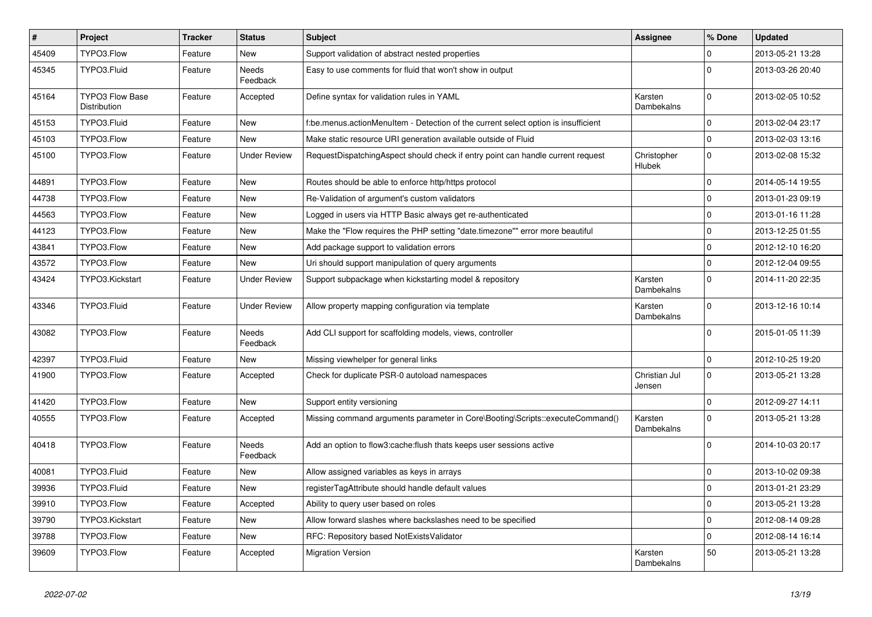| $\vert$ # | Project                                       | <b>Tracker</b> | <b>Status</b>            | <b>Subject</b>                                                                     | <b>Assignee</b>         | % Done       | <b>Updated</b>   |
|-----------|-----------------------------------------------|----------------|--------------------------|------------------------------------------------------------------------------------|-------------------------|--------------|------------------|
| 45409     | TYPO3.Flow                                    | Feature        | <b>New</b>               | Support validation of abstract nested properties                                   |                         | 0            | 2013-05-21 13:28 |
| 45345     | TYPO3.Fluid                                   | Feature        | Needs<br>Feedback        | Easy to use comments for fluid that won't show in output                           |                         | $\Omega$     | 2013-03-26 20:40 |
| 45164     | <b>TYPO3 Flow Base</b><br><b>Distribution</b> | Feature        | Accepted                 | Define syntax for validation rules in YAML                                         | Karsten<br>Dambekalns   | $\mathbf{0}$ | 2013-02-05 10:52 |
| 45153     | TYPO3.Fluid                                   | Feature        | <b>New</b>               | f:be.menus.actionMenuItem - Detection of the current select option is insufficient |                         | $\mathbf 0$  | 2013-02-04 23:17 |
| 45103     | TYPO3.Flow                                    | Feature        | New                      | Make static resource URI generation available outside of Fluid                     |                         | $\mathbf 0$  | 2013-02-03 13:16 |
| 45100     | TYPO3.Flow                                    | Feature        | <b>Under Review</b>      | RequestDispatchingAspect should check if entry point can handle current request    | Christopher<br>Hlubek   | $\Omega$     | 2013-02-08 15:32 |
| 44891     | TYPO3.Flow                                    | Feature        | <b>New</b>               | Routes should be able to enforce http/https protocol                               |                         | $\mathbf 0$  | 2014-05-14 19:55 |
| 44738     | TYPO3.Flow                                    | Feature        | <b>New</b>               | Re-Validation of argument's custom validators                                      |                         | $\mathbf 0$  | 2013-01-23 09:19 |
| 44563     | TYPO3.Flow                                    | Feature        | New                      | Logged in users via HTTP Basic always get re-authenticated                         |                         | $\mathbf 0$  | 2013-01-16 11:28 |
| 44123     | TYPO3.Flow                                    | Feature        | <b>New</b>               | Make the "Flow requires the PHP setting "date.timezone"" error more beautiful      |                         | $\mathbf{0}$ | 2013-12-25 01:55 |
| 43841     | TYPO3.Flow                                    | Feature        | New                      | Add package support to validation errors                                           |                         | $\mathbf{0}$ | 2012-12-10 16:20 |
| 43572     | TYPO3.Flow                                    | Feature        | <b>New</b>               | Uri should support manipulation of query arguments                                 |                         | $\mathbf{0}$ | 2012-12-04 09:55 |
| 43424     | TYPO3.Kickstart                               | Feature        | <b>Under Review</b>      | Support subpackage when kickstarting model & repository                            | Karsten<br>Dambekalns   | $\Omega$     | 2014-11-20 22:35 |
| 43346     | TYPO3.Fluid                                   | Feature        | <b>Under Review</b>      | Allow property mapping configuration via template                                  | Karsten<br>Dambekalns   | $\mathbf{0}$ | 2013-12-16 10:14 |
| 43082     | TYPO3.Flow                                    | Feature        | <b>Needs</b><br>Feedback | Add CLI support for scaffolding models, views, controller                          |                         | $\Omega$     | 2015-01-05 11:39 |
| 42397     | TYPO3.Fluid                                   | Feature        | <b>New</b>               | Missing viewhelper for general links                                               |                         | $\mathbf 0$  | 2012-10-25 19:20 |
| 41900     | TYPO3.Flow                                    | Feature        | Accepted                 | Check for duplicate PSR-0 autoload namespaces                                      | Christian Jul<br>Jensen | $\mathsf{O}$ | 2013-05-21 13:28 |
| 41420     | TYPO3.Flow                                    | Feature        | <b>New</b>               | Support entity versioning                                                          |                         | $\mathbf{0}$ | 2012-09-27 14:11 |
| 40555     | TYPO3.Flow                                    | Feature        | Accepted                 | Missing command arguments parameter in Core\Booting\Scripts::executeCommand()      | Karsten<br>Dambekalns   | $\Omega$     | 2013-05-21 13:28 |
| 40418     | TYPO3.Flow                                    | Feature        | Needs<br>Feedback        | Add an option to flow3:cache: flush thats keeps user sessions active               |                         | $\Omega$     | 2014-10-03 20:17 |
| 40081     | TYPO3.Fluid                                   | Feature        | New                      | Allow assigned variables as keys in arrays                                         |                         | $\mathbf{0}$ | 2013-10-02 09:38 |
| 39936     | TYPO3.Fluid                                   | Feature        | <b>New</b>               | registerTagAttribute should handle default values                                  |                         | $\mathbf 0$  | 2013-01-21 23:29 |
| 39910     | TYPO3.Flow                                    | Feature        | Accepted                 | Ability to query user based on roles                                               |                         | $\mathbf 0$  | 2013-05-21 13:28 |
| 39790     | TYPO3.Kickstart                               | Feature        | <b>New</b>               | Allow forward slashes where backslashes need to be specified                       |                         | $\mathbf{0}$ | 2012-08-14 09:28 |
| 39788     | TYPO3.Flow                                    | Feature        | <b>New</b>               | RFC: Repository based NotExistsValidator                                           |                         | $\mathbf{0}$ | 2012-08-14 16:14 |
| 39609     | TYPO3.Flow                                    | Feature        | Accepted                 | <b>Migration Version</b>                                                           | Karsten<br>Dambekalns   | 50           | 2013-05-21 13:28 |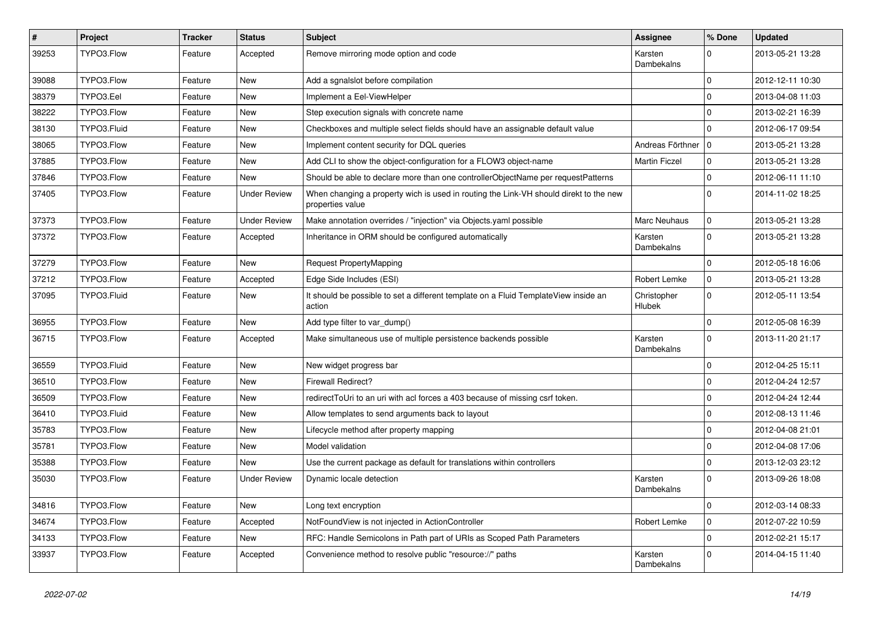| #     | Project     | <b>Tracker</b> | <b>Status</b>       | <b>Subject</b>                                                                                            | <b>Assignee</b>              | % Done       | <b>Updated</b>   |
|-------|-------------|----------------|---------------------|-----------------------------------------------------------------------------------------------------------|------------------------------|--------------|------------------|
| 39253 | TYPO3.Flow  | Feature        | Accepted            | Remove mirroring mode option and code                                                                     | Karsten<br>Dambekalns        | $\Omega$     | 2013-05-21 13:28 |
| 39088 | TYPO3.Flow  | Feature        | <b>New</b>          | Add a sgnalslot before compilation                                                                        |                              | $\mathbf 0$  | 2012-12-11 10:30 |
| 38379 | TYPO3.Eel   | Feature        | <b>New</b>          | Implement a Eel-ViewHelper                                                                                |                              | $\mathbf{0}$ | 2013-04-08 11:03 |
| 38222 | TYPO3.Flow  | Feature        | <b>New</b>          | Step execution signals with concrete name                                                                 |                              | $\mathbf 0$  | 2013-02-21 16:39 |
| 38130 | TYPO3.Fluid | Feature        | <b>New</b>          | Checkboxes and multiple select fields should have an assignable default value                             |                              | $\Omega$     | 2012-06-17 09:54 |
| 38065 | TYPO3.Flow  | Feature        | <b>New</b>          | Implement content security for DQL queries                                                                | Andreas Förthner             | 10           | 2013-05-21 13:28 |
| 37885 | TYPO3.Flow  | Feature        | New                 | Add CLI to show the object-configuration for a FLOW3 object-name                                          | <b>Martin Ficzel</b>         | $\mathbf 0$  | 2013-05-21 13:28 |
| 37846 | TYPO3.Flow  | Feature        | New                 | Should be able to declare more than one controllerObjectName per requestPatterns                          |                              | $\mathbf 0$  | 2012-06-11 11:10 |
| 37405 | TYPO3.Flow  | Feature        | <b>Under Review</b> | When changing a property wich is used in routing the Link-VH should direkt to the new<br>properties value |                              | $\Omega$     | 2014-11-02 18:25 |
| 37373 | TYPO3.Flow  | Feature        | <b>Under Review</b> | Make annotation overrides / "injection" via Objects.yaml possible                                         | Marc Neuhaus                 | $\mathbf 0$  | 2013-05-21 13:28 |
| 37372 | TYPO3.Flow  | Feature        | Accepted            | Inheritance in ORM should be configured automatically                                                     | Karsten<br>Dambekalns        | $\Omega$     | 2013-05-21 13:28 |
| 37279 | TYPO3.Flow  | Feature        | <b>New</b>          | Request PropertyMapping                                                                                   |                              | $\mathbf 0$  | 2012-05-18 16:06 |
| 37212 | TYPO3.Flow  | Feature        | Accepted            | Edge Side Includes (ESI)                                                                                  | Robert Lemke                 | $\mathbf 0$  | 2013-05-21 13:28 |
| 37095 | TYPO3.Fluid | Feature        | New                 | It should be possible to set a different template on a Fluid TemplateView inside an<br>action             | Christopher<br><b>Hlubek</b> | $\Omega$     | 2012-05-11 13:54 |
| 36955 | TYPO3.Flow  | Feature        | <b>New</b>          | Add type filter to var_dump()                                                                             |                              | $\mathbf 0$  | 2012-05-08 16:39 |
| 36715 | TYPO3.Flow  | Feature        | Accepted            | Make simultaneous use of multiple persistence backends possible                                           | Karsten<br>Dambekalns        | $\Omega$     | 2013-11-20 21:17 |
| 36559 | TYPO3.Fluid | Feature        | <b>New</b>          | New widget progress bar                                                                                   |                              | $\mathbf 0$  | 2012-04-25 15:11 |
| 36510 | TYPO3.Flow  | Feature        | <b>New</b>          | <b>Firewall Redirect?</b>                                                                                 |                              | $\mathbf 0$  | 2012-04-24 12:57 |
| 36509 | TYPO3.Flow  | Feature        | New                 | redirectToUri to an uri with acl forces a 403 because of missing csrf token.                              |                              | $\mathbf 0$  | 2012-04-24 12:44 |
| 36410 | TYPO3.Fluid | Feature        | <b>New</b>          | Allow templates to send arguments back to layout                                                          |                              | $\mathbf 0$  | 2012-08-13 11:46 |
| 35783 | TYPO3.Flow  | Feature        | <b>New</b>          | Lifecycle method after property mapping                                                                   |                              | $\mathbf 0$  | 2012-04-08 21:01 |
| 35781 | TYPO3.Flow  | Feature        | <b>New</b>          | Model validation                                                                                          |                              | $\mathbf 0$  | 2012-04-08 17:06 |
| 35388 | TYPO3.Flow  | Feature        | <b>New</b>          | Use the current package as default for translations within controllers                                    |                              | $\mathbf 0$  | 2013-12-03 23:12 |
| 35030 | TYPO3.Flow  | Feature        | <b>Under Review</b> | Dynamic locale detection                                                                                  | Karsten<br>Dambekalns        | $\Omega$     | 2013-09-26 18:08 |
| 34816 | TYPO3.Flow  | Feature        | New                 | Long text encryption                                                                                      |                              | $\mathbf 0$  | 2012-03-14 08:33 |
| 34674 | TYPO3.Flow  | Feature        | Accepted            | NotFoundView is not injected in ActionController                                                          | Robert Lemke                 | $\mathbf 0$  | 2012-07-22 10:59 |
| 34133 | TYPO3.Flow  | Feature        | New                 | RFC: Handle Semicolons in Path part of URIs as Scoped Path Parameters                                     |                              | $\mathbf 0$  | 2012-02-21 15:17 |
| 33937 | TYPO3.Flow  | Feature        | Accepted            | Convenience method to resolve public "resource://" paths                                                  | Karsten<br>Dambekalns        | $\mathbf 0$  | 2014-04-15 11:40 |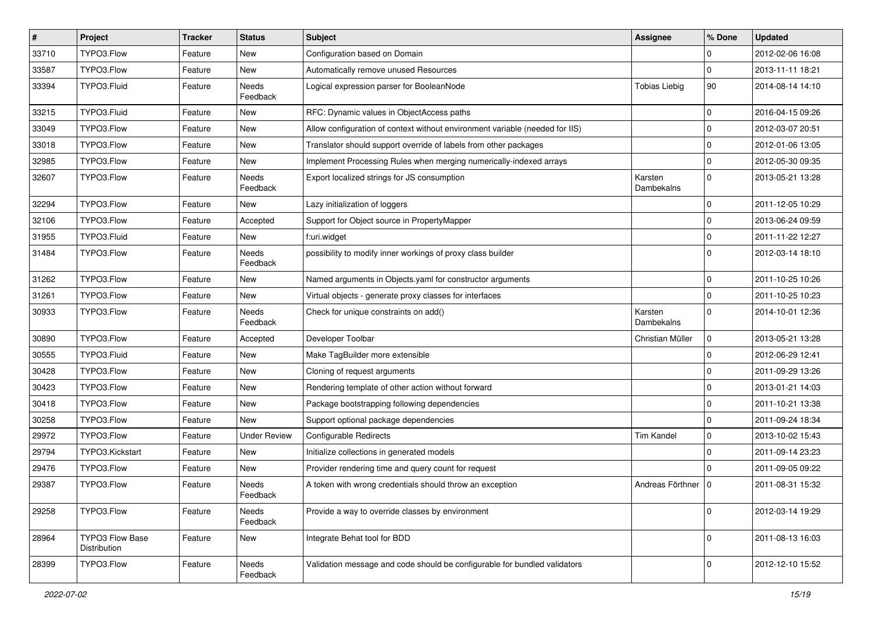| $\vert$ # | Project                         | Tracker | <b>Status</b>       | Subject                                                                      | Assignee              | % Done       | <b>Updated</b>   |
|-----------|---------------------------------|---------|---------------------|------------------------------------------------------------------------------|-----------------------|--------------|------------------|
| 33710     | TYPO3.Flow                      | Feature | New                 | Configuration based on Domain                                                |                       | 0            | 2012-02-06 16:08 |
| 33587     | TYPO3.Flow                      | Feature | <b>New</b>          | Automatically remove unused Resources                                        |                       | $\Omega$     | 2013-11-11 18:21 |
| 33394     | TYPO3.Fluid                     | Feature | Needs<br>Feedback   | Logical expression parser for BooleanNode                                    | <b>Tobias Liebig</b>  | 90           | 2014-08-14 14:10 |
| 33215     | TYPO3.Fluid                     | Feature | <b>New</b>          | RFC: Dynamic values in ObjectAccess paths                                    |                       | $\Omega$     | 2016-04-15 09:26 |
| 33049     | TYPO3.Flow                      | Feature | New                 | Allow configuration of context without environment variable (needed for IIS) |                       | $\mathbf{0}$ | 2012-03-07 20:51 |
| 33018     | TYPO3.Flow                      | Feature | <b>New</b>          | Translator should support override of labels from other packages             |                       | $\Omega$     | 2012-01-06 13:05 |
| 32985     | TYPO3.Flow                      | Feature | New                 | Implement Processing Rules when merging numerically-indexed arrays           |                       | $\mathbf 0$  | 2012-05-30 09:35 |
| 32607     | TYPO3.Flow                      | Feature | Needs<br>Feedback   | Export localized strings for JS consumption                                  | Karsten<br>Dambekalns | $\Omega$     | 2013-05-21 13:28 |
| 32294     | TYPO3.Flow                      | Feature | <b>New</b>          | Lazy initialization of loggers                                               |                       | $\mathbf{0}$ | 2011-12-05 10:29 |
| 32106     | TYPO3.Flow                      | Feature | Accepted            | Support for Object source in PropertyMapper                                  |                       | $\Omega$     | 2013-06-24 09:59 |
| 31955     | TYPO3.Fluid                     | Feature | <b>New</b>          | f:uri.widget                                                                 |                       | $\mathbf 0$  | 2011-11-22 12:27 |
| 31484     | TYPO3.Flow                      | Feature | Needs<br>Feedback   | possibility to modify inner workings of proxy class builder                  |                       | $\Omega$     | 2012-03-14 18:10 |
| 31262     | TYPO3.Flow                      | Feature | <b>New</b>          | Named arguments in Objects.yaml for constructor arguments                    |                       | $\mathbf{0}$ | 2011-10-25 10:26 |
| 31261     | TYPO3.Flow                      | Feature | <b>New</b>          | Virtual objects - generate proxy classes for interfaces                      |                       | $\Omega$     | 2011-10-25 10:23 |
| 30933     | TYPO3.Flow                      | Feature | Needs<br>Feedback   | Check for unique constraints on add()                                        | Karsten<br>Dambekalns | $\Omega$     | 2014-10-01 12:36 |
| 30890     | TYPO3.Flow                      | Feature | Accepted            | Developer Toolbar                                                            | Christian Müller      | $\mathbf{0}$ | 2013-05-21 13:28 |
| 30555     | TYPO3.Fluid                     | Feature | New                 | Make TagBuilder more extensible                                              |                       | $\mathbf 0$  | 2012-06-29 12:41 |
| 30428     | TYPO3.Flow                      | Feature | <b>New</b>          | Cloning of request arguments                                                 |                       | $\mathbf{0}$ | 2011-09-29 13:26 |
| 30423     | TYPO3.Flow                      | Feature | New                 | Rendering template of other action without forward                           |                       | $\Omega$     | 2013-01-21 14:03 |
| 30418     | TYPO3.Flow                      | Feature | New                 | Package bootstrapping following dependencies                                 |                       | $\mathbf{0}$ | 2011-10-21 13:38 |
| 30258     | TYPO3.Flow                      | Feature | <b>New</b>          | Support optional package dependencies                                        |                       | $\Omega$     | 2011-09-24 18:34 |
| 29972     | TYPO3.Flow                      | Feature | <b>Under Review</b> | <b>Configurable Redirects</b>                                                | <b>Tim Kandel</b>     | $\mathbf{0}$ | 2013-10-02 15:43 |
| 29794     | TYPO3.Kickstart                 | Feature | New                 | Initialize collections in generated models                                   |                       | $\mathbf{0}$ | 2011-09-14 23:23 |
| 29476     | TYPO3.Flow                      | Feature | <b>New</b>          | Provider rendering time and query count for request                          |                       | $\Omega$     | 2011-09-05 09:22 |
| 29387     | TYPO3.Flow                      | Feature | Needs<br>Feedback   | A token with wrong credentials should throw an exception                     | Andreas Förthner      | 10           | 2011-08-31 15:32 |
| 29258     | TYPO3.Flow                      | Feature | Needs<br>Feedback   | Provide a way to override classes by environment                             |                       | $\mathbf{0}$ | 2012-03-14 19:29 |
| 28964     | TYPO3 Flow Base<br>Distribution | Feature | New                 | Integrate Behat tool for BDD                                                 |                       | $\Omega$     | 2011-08-13 16:03 |
| 28399     | TYPO3.Flow                      | Feature | Needs<br>Feedback   | Validation message and code should be configurable for bundled validators    |                       | $\mathbf{0}$ | 2012-12-10 15:52 |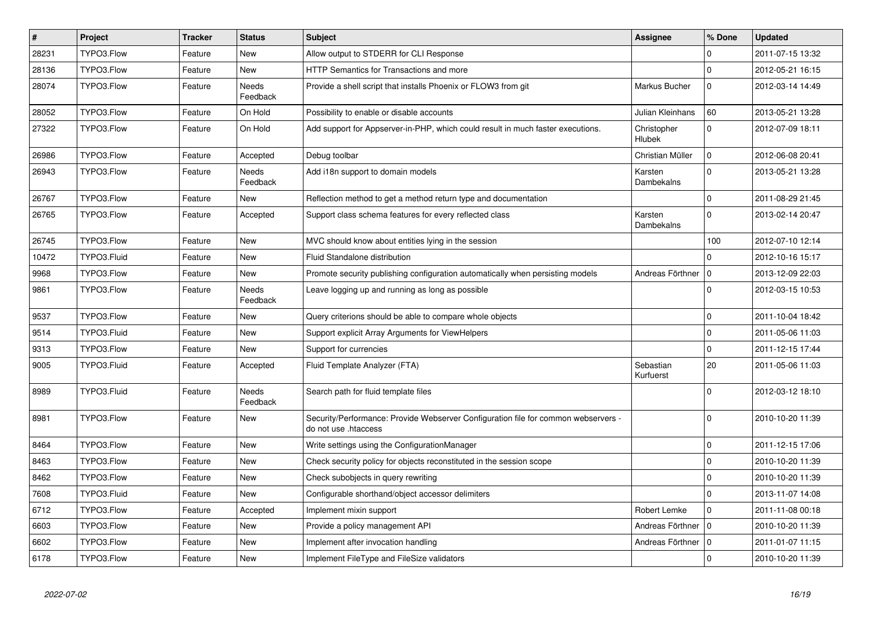| $\vert$ # | Project     | <b>Tracker</b> | <b>Status</b>            | <b>Subject</b>                                                                                             | <b>Assignee</b>              | % Done       | <b>Updated</b>   |
|-----------|-------------|----------------|--------------------------|------------------------------------------------------------------------------------------------------------|------------------------------|--------------|------------------|
| 28231     | TYPO3.Flow  | Feature        | <b>New</b>               | Allow output to STDERR for CLI Response                                                                    |                              | 0            | 2011-07-15 13:32 |
| 28136     | TYPO3.Flow  | Feature        | <b>New</b>               | HTTP Semantics for Transactions and more                                                                   |                              | $\mathbf 0$  | 2012-05-21 16:15 |
| 28074     | TYPO3.Flow  | Feature        | <b>Needs</b><br>Feedback | Provide a shell script that installs Phoenix or FLOW3 from git                                             | Markus Bucher                | $\mathbf 0$  | 2012-03-14 14:49 |
| 28052     | TYPO3.Flow  | Feature        | On Hold                  | Possibility to enable or disable accounts                                                                  | Julian Kleinhans             | 60           | 2013-05-21 13:28 |
| 27322     | TYPO3.Flow  | Feature        | On Hold                  | Add support for Appserver-in-PHP, which could result in much faster executions.                            | Christopher<br><b>Hlubek</b> | $\Omega$     | 2012-07-09 18:11 |
| 26986     | TYPO3.Flow  | Feature        | Accepted                 | Debug toolbar                                                                                              | Christian Müller             | $\pmb{0}$    | 2012-06-08 20:41 |
| 26943     | TYPO3.Flow  | Feature        | Needs<br>Feedback        | Add i18n support to domain models                                                                          | Karsten<br>Dambekalns        | $\mathbf 0$  | 2013-05-21 13:28 |
| 26767     | TYPO3.Flow  | Feature        | <b>New</b>               | Reflection method to get a method return type and documentation                                            |                              | $\mathbf{0}$ | 2011-08-29 21:45 |
| 26765     | TYPO3.Flow  | Feature        | Accepted                 | Support class schema features for every reflected class                                                    | Karsten<br><b>Dambekalns</b> | $\mathbf 0$  | 2013-02-14 20:47 |
| 26745     | TYPO3.Flow  | Feature        | <b>New</b>               | MVC should know about entities lying in the session                                                        |                              | 100          | 2012-07-10 12:14 |
| 10472     | TYPO3.Fluid | Feature        | <b>New</b>               | Fluid Standalone distribution                                                                              |                              | $\mathbf{0}$ | 2012-10-16 15:17 |
| 9968      | TYPO3.Flow  | Feature        | New                      | Promote security publishing configuration automatically when persisting models                             | Andreas Förthner             | $\mathbf 0$  | 2013-12-09 22:03 |
| 9861      | TYPO3.Flow  | Feature        | <b>Needs</b><br>Feedback | Leave logging up and running as long as possible                                                           |                              | $\mathbf 0$  | 2012-03-15 10:53 |
| 9537      | TYPO3.Flow  | Feature        | New                      | Query criterions should be able to compare whole objects                                                   |                              | $\mathbf{0}$ | 2011-10-04 18:42 |
| 9514      | TYPO3.Fluid | Feature        | New                      | Support explicit Array Arguments for ViewHelpers                                                           |                              | $\mathsf 0$  | 2011-05-06 11:03 |
| 9313      | TYPO3.Flow  | Feature        | <b>New</b>               | Support for currencies                                                                                     |                              | $\mathbf 0$  | 2011-12-15 17:44 |
| 9005      | TYPO3.Fluid | Feature        | Accepted                 | Fluid Template Analyzer (FTA)                                                                              | Sebastian<br>Kurfuerst       | 20           | 2011-05-06 11:03 |
| 8989      | TYPO3.Fluid | Feature        | Needs<br>Feedback        | Search path for fluid template files                                                                       |                              | $\Omega$     | 2012-03-12 18:10 |
| 8981      | TYPO3.Flow  | Feature        | New                      | Security/Performance: Provide Webserver Configuration file for common webservers -<br>do not use .htaccess |                              | $\Omega$     | 2010-10-20 11:39 |
| 8464      | TYPO3.Flow  | Feature        | <b>New</b>               | Write settings using the ConfigurationManager                                                              |                              | $\pmb{0}$    | 2011-12-15 17:06 |
| 8463      | TYPO3.Flow  | Feature        | <b>New</b>               | Check security policy for objects reconstituted in the session scope                                       |                              | $\mathbf 0$  | 2010-10-20 11:39 |
| 8462      | TYPO3.Flow  | Feature        | New                      | Check subobjects in query rewriting                                                                        |                              | $\mathbf 0$  | 2010-10-20 11:39 |
| 7608      | TYPO3.Fluid | Feature        | New                      | Configurable shorthand/object accessor delimiters                                                          |                              | $\Omega$     | 2013-11-07 14:08 |
| 6712      | TYPO3.Flow  | Feature        | Accepted                 | Implement mixin support                                                                                    | Robert Lemke                 | $\mathbf{0}$ | 2011-11-08 00:18 |
| 6603      | TYPO3.Flow  | Feature        | New                      | Provide a policy management API                                                                            | Andreas Förthner   0         |              | 2010-10-20 11:39 |
| 6602      | TYPO3.Flow  | Feature        | <b>New</b>               | Implement after invocation handling                                                                        | Andreas Förthner   0         |              | 2011-01-07 11:15 |
| 6178      | TYPO3.Flow  | Feature        | <b>New</b>               | Implement FileType and FileSize validators                                                                 |                              | $\Omega$     | 2010-10-20 11:39 |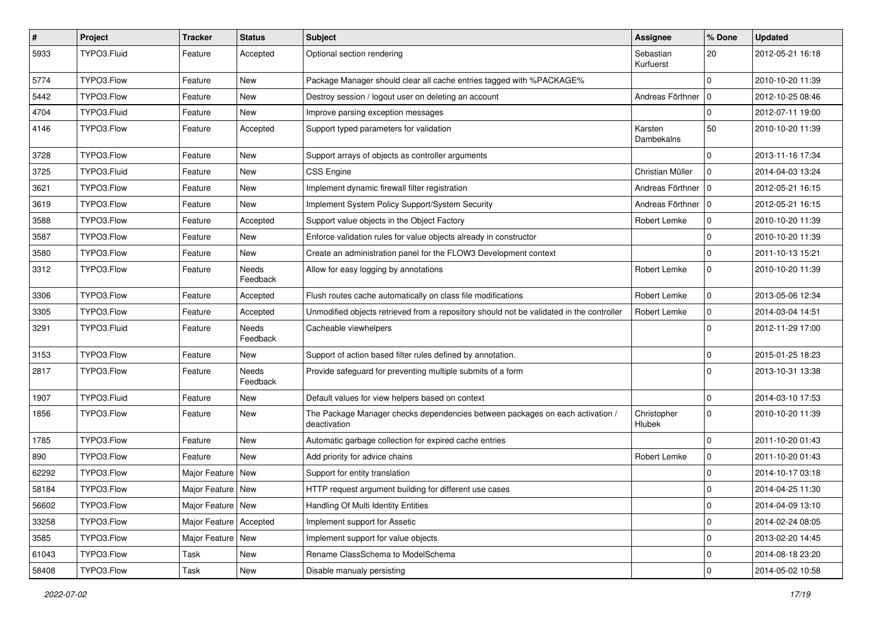| $\sharp$ | Project     | <b>Tracker</b>           | <b>Status</b>            | Subject                                                                                       | Assignee               | % Done       | <b>Updated</b>   |
|----------|-------------|--------------------------|--------------------------|-----------------------------------------------------------------------------------------------|------------------------|--------------|------------------|
| 5933     | TYPO3.Fluid | Feature                  | Accepted                 | Optional section rendering                                                                    | Sebastian<br>Kurfuerst | 20           | 2012-05-21 16:18 |
| 5774     | TYPO3.Flow  | Feature                  | New                      | Package Manager should clear all cache entries tagged with %PACKAGE%                          |                        | $\mathbf 0$  | 2010-10-20 11:39 |
| 5442     | TYPO3.Flow  | Feature                  | New                      | Destroy session / logout user on deleting an account                                          | Andreas Förthner   0   |              | 2012-10-25 08:46 |
| 4704     | TYPO3.Fluid | Feature                  | <b>New</b>               | Improve parsing exception messages                                                            |                        | $\mathbf 0$  | 2012-07-11 19:00 |
| 4146     | TYPO3.Flow  | Feature                  | Accepted                 | Support typed parameters for validation                                                       | Karsten<br>Dambekalns  | 50           | 2010-10-20 11:39 |
| 3728     | TYPO3.Flow  | Feature                  | New                      | Support arrays of objects as controller arguments                                             |                        | $\mathbf 0$  | 2013-11-16 17:34 |
| 3725     | TYPO3.Fluid | Feature                  | New                      | <b>CSS Engine</b>                                                                             | Christian Müller       | $\mathbf{0}$ | 2014-04-03 13:24 |
| 3621     | TYPO3.Flow  | Feature                  | New                      | Implement dynamic firewall filter registration                                                | Andreas Förthner   0   |              | 2012-05-21 16:15 |
| 3619     | TYPO3.Flow  | Feature                  | New                      | Implement System Policy Support/System Security                                               | Andreas Förthner   0   |              | 2012-05-21 16:15 |
| 3588     | TYPO3.Flow  | Feature                  | Accepted                 | Support value objects in the Object Factory                                                   | Robert Lemke           | $\mathbf 0$  | 2010-10-20 11:39 |
| 3587     | TYPO3.Flow  | Feature                  | New                      | Enforce validation rules for value objects already in constructor                             |                        | $\mathbf 0$  | 2010-10-20 11:39 |
| 3580     | TYPO3.Flow  | Feature                  | New                      | Create an administration panel for the FLOW3 Development context                              |                        | 0            | 2011-10-13 15:21 |
| 3312     | TYPO3.Flow  | Feature                  | <b>Needs</b><br>Feedback | Allow for easy logging by annotations                                                         | Robert Lemke           | $\mathbf 0$  | 2010-10-20 11:39 |
| 3306     | TYPO3.Flow  | Feature                  | Accepted                 | Flush routes cache automatically on class file modifications                                  | Robert Lemke           | $\pmb{0}$    | 2013-05-06 12:34 |
| 3305     | TYPO3.Flow  | Feature                  | Accepted                 | Unmodified objects retrieved from a repository should not be validated in the controller      | Robert Lemke           | 0            | 2014-03-04 14:51 |
| 3291     | TYPO3.Fluid | Feature                  | Needs<br>Feedback        | Cacheable viewhelpers                                                                         |                        | $\mathbf 0$  | 2012-11-29 17:00 |
| 3153     | TYPO3.Flow  | Feature                  | <b>New</b>               | Support of action based filter rules defined by annotation.                                   |                        | 0            | 2015-01-25 18:23 |
| 2817     | TYPO3.Flow  | Feature                  | Needs<br>Feedback        | Provide safeguard for preventing multiple submits of a form                                   |                        | $\mathbf 0$  | 2013-10-31 13:38 |
| 1907     | TYPO3.Fluid | Feature                  | New                      | Default values for view helpers based on context                                              |                        | 0            | 2014-03-10 17:53 |
| 1856     | TYPO3.Flow  | Feature                  | New                      | The Package Manager checks dependencies between packages on each activation /<br>deactivation | Christopher<br>Hlubek  | $\mathbf 0$  | 2010-10-20 11:39 |
| 1785     | TYPO3.Flow  | Feature                  | New                      | Automatic garbage collection for expired cache entries                                        |                        | $\pmb{0}$    | 2011-10-20 01:43 |
| 890      | TYPO3.Flow  | Feature                  | New                      | Add priority for advice chains                                                                | Robert Lemke           | $\mathsf 0$  | 2011-10-20 01:43 |
| 62292    | TYPO3.Flow  | Major Feature            | <b>New</b>               | Support for entity translation                                                                |                        | $\mathbf 0$  | 2014-10-17 03:18 |
| 58184    | TYPO3.Flow  | Major Feature   New      |                          | HTTP request argument building for different use cases                                        |                        | $\mathbf 0$  | 2014-04-25 11:30 |
| 56602    | TYPO3.Flow  | Major Feature   New      |                          | Handling Of Multi Identity Entities                                                           |                        | $\mathbf 0$  | 2014-04-09 13:10 |
| 33258    | TYPO3.Flow  | Major Feature   Accepted |                          | Implement support for Assetic                                                                 |                        | $\mathbf 0$  | 2014-02-24 08:05 |
| 3585     | TYPO3.Flow  | Major Feature   New      |                          | Implement support for value objects                                                           |                        | $\pmb{0}$    | 2013-02-20 14:45 |
| 61043    | TYPO3.Flow  | Task                     | New                      | Rename ClassSchema to ModelSchema                                                             |                        | 0            | 2014-08-18 23:20 |
| 58408    | TYPO3.Flow  | Task                     | New                      | Disable manualy persisting                                                                    |                        | $\pmb{0}$    | 2014-05-02 10:58 |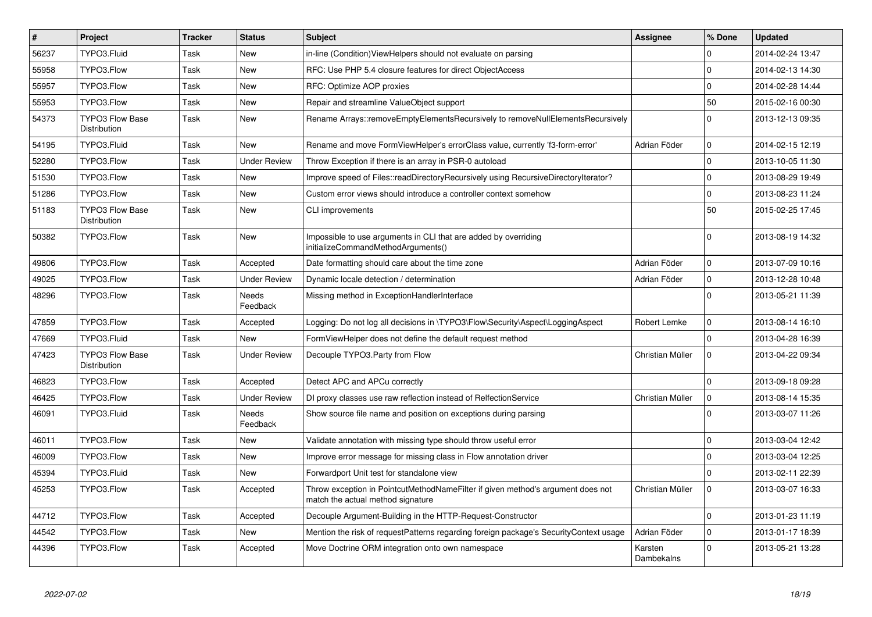| $\vert$ # | <b>Project</b>                         | <b>Tracker</b> | <b>Status</b>            | <b>Subject</b>                                                                                                       | <b>Assignee</b>       | % Done       | <b>Updated</b>   |
|-----------|----------------------------------------|----------------|--------------------------|----------------------------------------------------------------------------------------------------------------------|-----------------------|--------------|------------------|
| 56237     | TYPO3.Fluid                            | Task           | <b>New</b>               | in-line (Condition)ViewHelpers should not evaluate on parsing                                                        |                       | $\Omega$     | 2014-02-24 13:47 |
| 55958     | TYPO3.Flow                             | Task           | <b>New</b>               | RFC: Use PHP 5.4 closure features for direct ObjectAccess                                                            |                       | $\Omega$     | 2014-02-13 14:30 |
| 55957     | TYPO3.Flow                             | Task           | <b>New</b>               | RFC: Optimize AOP proxies                                                                                            |                       | $\Omega$     | 2014-02-28 14:44 |
| 55953     | TYPO3.Flow                             | Task           | <b>New</b>               | Repair and streamline ValueObject support                                                                            |                       | 50           | 2015-02-16 00:30 |
| 54373     | <b>TYPO3 Flow Base</b><br>Distribution | Task           | <b>New</b>               | Rename Arrays::removeEmptyElementsRecursively to removeNullElementsRecursively                                       |                       | $\mathbf 0$  | 2013-12-13 09:35 |
| 54195     | TYPO3.Fluid                            | Task           | New                      | Rename and move FormViewHelper's errorClass value, currently 'f3-form-error'                                         | Adrian Föder          | $\mathbf 0$  | 2014-02-15 12:19 |
| 52280     | TYPO3.Flow                             | Task           | <b>Under Review</b>      | Throw Exception if there is an array in PSR-0 autoload                                                               |                       | $\mathbf 0$  | 2013-10-05 11:30 |
| 51530     | TYPO3.Flow                             | Task           | <b>New</b>               | Improve speed of Files::readDirectoryRecursively using RecursiveDirectoryIterator?                                   |                       | $\mathbf 0$  | 2013-08-29 19:49 |
| 51286     | TYPO3.Flow                             | Task           | <b>New</b>               | Custom error views should introduce a controller context somehow                                                     |                       | $\mathbf{0}$ | 2013-08-23 11:24 |
| 51183     | TYPO3 Flow Base<br>Distribution        | Task           | <b>New</b>               | <b>CLI improvements</b>                                                                                              |                       | 50           | 2015-02-25 17:45 |
| 50382     | TYPO3.Flow                             | Task           | <b>New</b>               | Impossible to use arguments in CLI that are added by overriding<br>initializeCommandMethodArguments()                |                       | $\Omega$     | 2013-08-19 14:32 |
| 49806     | TYPO3.Flow                             | Task           | Accepted                 | Date formatting should care about the time zone                                                                      | Adrian Föder          | $\mathbf 0$  | 2013-07-09 10:16 |
| 49025     | TYPO3.Flow                             | Task           | <b>Under Review</b>      | Dynamic locale detection / determination                                                                             | Adrian Föder          | $\mathbf{0}$ | 2013-12-28 10:48 |
| 48296     | TYPO3.Flow                             | Task           | <b>Needs</b><br>Feedback | Missing method in ExceptionHandlerInterface                                                                          |                       | $\Omega$     | 2013-05-21 11:39 |
| 47859     | TYPO3.Flow                             | Task           | Accepted                 | Logging: Do not log all decisions in \TYPO3\Flow\Security\Aspect\LoggingAspect                                       | Robert Lemke          | $\mathbf{0}$ | 2013-08-14 16:10 |
| 47669     | TYPO3.Fluid                            | Task           | New                      | FormViewHelper does not define the default request method                                                            |                       | $\mathbf 0$  | 2013-04-28 16:39 |
| 47423     | <b>TYPO3 Flow Base</b><br>Distribution | Task           | <b>Under Review</b>      | Decouple TYPO3. Party from Flow                                                                                      | Christian Müller      | $\mathbf{0}$ | 2013-04-22 09:34 |
| 46823     | TYPO3.Flow                             | Task           | Accepted                 | Detect APC and APCu correctly                                                                                        |                       | $\Omega$     | 2013-09-18 09:28 |
| 46425     | TYPO3.Flow                             | Task           | <b>Under Review</b>      | DI proxy classes use raw reflection instead of RelfectionService                                                     | Christian Müller      | $\mathbf{0}$ | 2013-08-14 15:35 |
| 46091     | TYPO3.Fluid                            | Task           | Needs<br>Feedback        | Show source file name and position on exceptions during parsing                                                      |                       | $\Omega$     | 2013-03-07 11:26 |
| 46011     | TYPO3.Flow                             | Task           | New                      | Validate annotation with missing type should throw useful error                                                      |                       | $\mathbf 0$  | 2013-03-04 12:42 |
| 46009     | TYPO3.Flow                             | Task           | <b>New</b>               | Improve error message for missing class in Flow annotation driver                                                    |                       | $\mathbf 0$  | 2013-03-04 12:25 |
| 45394     | TYPO3.Fluid                            | Task           | New                      | Forwardport Unit test for standalone view                                                                            |                       | $\Omega$     | 2013-02-11 22:39 |
| 45253     | TYPO3.Flow                             | Task           | Accepted                 | Throw exception in PointcutMethodNameFilter if given method's argument does not<br>match the actual method signature | Christian Müller      | $\Omega$     | 2013-03-07 16:33 |
| 44712     | TYPO3.Flow                             | Task           | Accepted                 | Decouple Argument-Building in the HTTP-Request-Constructor                                                           |                       | $\Omega$     | 2013-01-23 11:19 |
| 44542     | TYPO3.Flow                             | Task           | <b>New</b>               | Mention the risk of requestPatterns regarding foreign package's SecurityContext usage                                | Adrian Föder          | $\mathbf 0$  | 2013-01-17 18:39 |
| 44396     | TYPO3.Flow                             | Task           | Accepted                 | Move Doctrine ORM integration onto own namespace                                                                     | Karsten<br>Dambekalns | $\mathbf 0$  | 2013-05-21 13:28 |